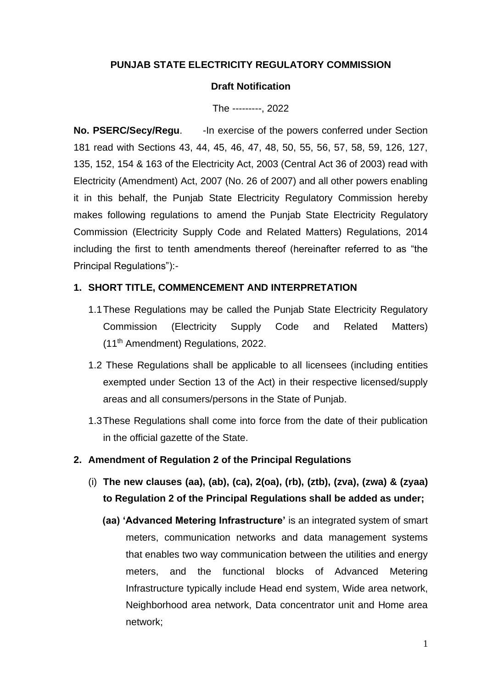# **PUNJAB STATE ELECTRICITY REGULATORY COMMISSION**

#### **Draft Notification**

The ---------, 2022

**No. PSERC/Secy/Regu.** - In exercise of the powers conferred under Section 181 read with Sections 43, 44, 45, 46, 47, 48, 50, 55, 56, 57, 58, 59, 126, 127, 135, 152, 154 & 163 of the Electricity Act, 2003 (Central Act 36 of 2003) read with Electricity (Amendment) Act, 2007 (No. 26 of 2007) and all other powers enabling it in this behalf, the Punjab State Electricity Regulatory Commission hereby makes following regulations to amend the Punjab State Electricity Regulatory Commission (Electricity Supply Code and Related Matters) Regulations, 2014 including the first to tenth amendments thereof (hereinafter referred to as "the Principal Regulations"):-

### **1. SHORT TITLE, COMMENCEMENT AND INTERPRETATION**

- 1.1These Regulations may be called the Punjab State Electricity Regulatory Commission (Electricity Supply Code and Related Matters) (11th Amendment) Regulations, 2022.
- 1.2 These Regulations shall be applicable to all licensees (including entities exempted under Section 13 of the Act) in their respective licensed/supply areas and all consumers/persons in the State of Punjab.
- 1.3These Regulations shall come into force from the date of their publication in the official gazette of the State.

### **2. Amendment of Regulation 2 of the Principal Regulations**

- (i) **The new clauses (aa), (ab), (ca), 2(oa), (rb), (ztb), (zva), (zwa) & (zyaa) to Regulation 2 of the Principal Regulations shall be added as under;**
	- **(aa) 'Advanced Metering Infrastructure'** is an integrated system of smart meters, communication networks and data management systems that enables two way communication between the utilities and energy meters, and the functional blocks of Advanced Metering Infrastructure typically include Head end system, Wide area network, Neighborhood area network, Data concentrator unit and Home area network;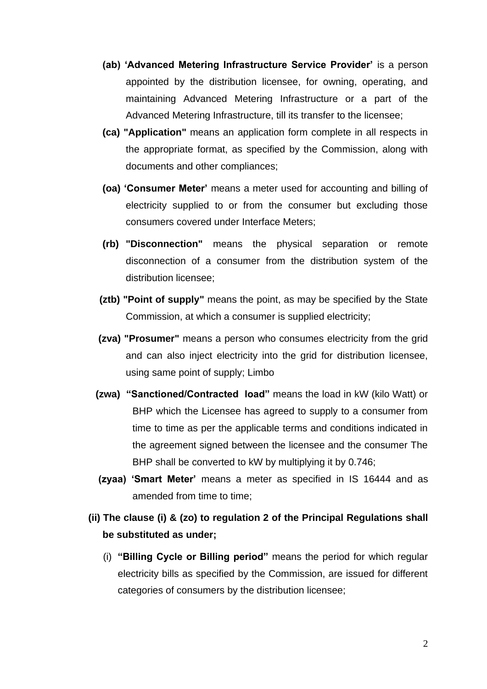- **(ab) 'Advanced Metering Infrastructure Service Provider'** is a person appointed by the distribution licensee, for owning, operating, and maintaining Advanced Metering Infrastructure or a part of the Advanced Metering Infrastructure, till its transfer to the licensee;
- **(ca) "Application"** means an application form complete in all respects in the appropriate format, as specified by the Commission, along with documents and other compliances;
- **(oa) 'Consumer Meter'** means a meter used for accounting and billing of electricity supplied to or from the consumer but excluding those consumers covered under Interface Meters;
- **(rb) "Disconnection"** means the physical separation or remote disconnection of a consumer from the distribution system of the distribution licensee;
- **(ztb) "Point of supply"** means the point, as may be specified by the State Commission, at which a consumer is supplied electricity;
- **(zva) "Prosumer"** means a person who consumes electricity from the grid and can also inject electricity into the grid for distribution licensee, using same point of supply; Limbo
- **(zwa) "Sanctioned/Contracted load"** means the load in kW (kilo Watt) or BHP which the Licensee has agreed to supply to a consumer from time to time as per the applicable terms and conditions indicated in the agreement signed between the licensee and the consumer The BHP shall be converted to kW by multiplying it by 0.746;
- **(zyaa) 'Smart Meter'** means a meter as specified in IS 16444 and as amended from time to time;
- **(ii) The clause (i) & (zo) to regulation 2 of the Principal Regulations shall be substituted as under;** 
	- (i) **"Billing Cycle or Billing period"** means the period for which regular electricity bills as specified by the Commission, are issued for different categories of consumers by the distribution licensee;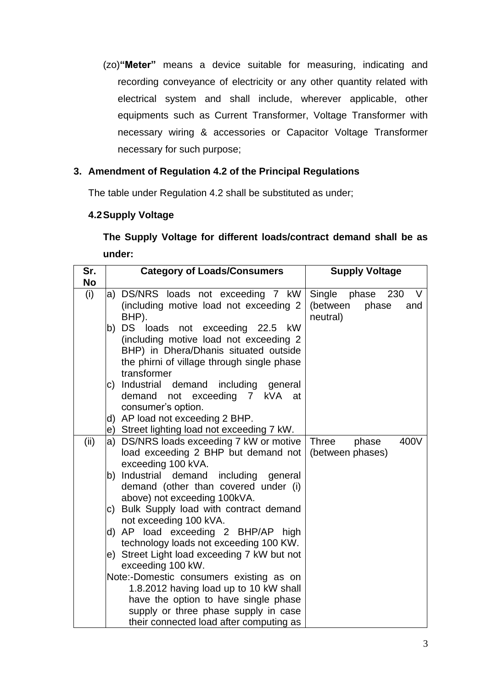(zo)**"Meter"** means a device suitable for measuring, indicating and recording conveyance of electricity or any other quantity related with electrical system and shall include, wherever applicable, other equipments such as Current Transformer, Voltage Transformer with necessary wiring & accessories or Capacitor Voltage Transformer necessary for such purpose;

# **3. Amendment of Regulation 4.2 of the Principal Regulations**

The table under Regulation 4.2 shall be substituted as under;

# **4.2Supply Voltage**

**The Supply Voltage for different loads/contract demand shall be as under:**

| Sr.       | <b>Category of Loads/Consumers</b>                                                                                                                                                                                                                                                                                                                                                                                                                                                              | <b>Supply Voltage</b>                                         |
|-----------|-------------------------------------------------------------------------------------------------------------------------------------------------------------------------------------------------------------------------------------------------------------------------------------------------------------------------------------------------------------------------------------------------------------------------------------------------------------------------------------------------|---------------------------------------------------------------|
| <b>No</b> |                                                                                                                                                                                                                                                                                                                                                                                                                                                                                                 |                                                               |
| (i)       | a) DS/NRS loads not exceeding 7 kW<br>(including motive load not exceeding 2<br>BHP).                                                                                                                                                                                                                                                                                                                                                                                                           | Single phase<br>V<br>230<br>(between phase<br>and<br>neutral) |
|           | DS loads not exceeding 22.5 kW<br>b)<br>(including motive load not exceeding 2<br>BHP) in Dhera/Dhanis situated outside<br>the phirni of village through single phase<br>transformer                                                                                                                                                                                                                                                                                                            |                                                               |
|           | c) Industrial demand including general<br>demand not exceeding 7 kVA<br>at<br>consumer's option.<br>d) AP load not exceeding 2 BHP.                                                                                                                                                                                                                                                                                                                                                             |                                                               |
|           | e) Street lighting load not exceeding 7 kW.                                                                                                                                                                                                                                                                                                                                                                                                                                                     |                                                               |
| (ii)      | a) DS/NRS loads exceeding 7 kW or motive<br>load exceeding 2 BHP but demand not<br>exceeding 100 kVA.<br>b) Industrial demand<br>including general<br>demand (other than covered under (i)<br>above) not exceeding 100kVA.<br>c) Bulk Supply load with contract demand<br>not exceeding 100 kVA.<br>d) AP load exceeding 2 BHP/AP high<br>technology loads not exceeding 100 KW.<br>e) Street Light load exceeding 7 kW but not<br>exceeding 100 kW.<br>Note:-Domestic consumers existing as on | 400V<br><b>Three</b><br>phase<br>(between phases)             |
|           | 1.8.2012 having load up to 10 kW shall<br>have the option to have single phase<br>supply or three phase supply in case<br>their connected load after computing as                                                                                                                                                                                                                                                                                                                               |                                                               |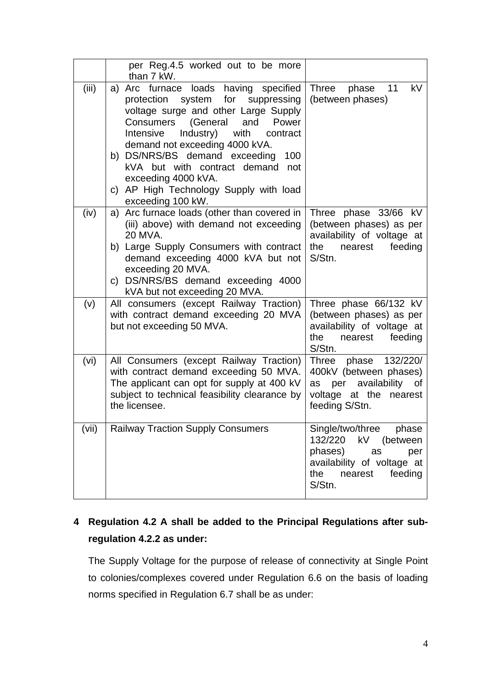|       | per Reg.4.5 worked out to be more<br>than 7 kW.                                                                                                                                                                                                                                                                                                                                                         |                                                                                                                                                     |
|-------|---------------------------------------------------------------------------------------------------------------------------------------------------------------------------------------------------------------------------------------------------------------------------------------------------------------------------------------------------------------------------------------------------------|-----------------------------------------------------------------------------------------------------------------------------------------------------|
| (iii) | a) Arc furnace loads having specified<br>protection system for suppressing<br>voltage surge and other Large Supply<br>Consumers<br>(General<br>and<br>Power<br>Industry) with contract<br>Intensive<br>demand not exceeding 4000 kVA.<br>b) DS/NRS/BS demand exceeding<br>100<br>kVA but with contract demand not<br>exceeding 4000 kVA.<br>c) AP High Technology Supply with load<br>exceeding 100 kW. | <b>Three</b><br>11<br>kV<br>phase<br>(between phases)                                                                                               |
| (iv)  | a) Arc furnace loads (other than covered in<br>(iii) above) with demand not exceeding<br>20 MVA.<br>b) Large Supply Consumers with contract<br>demand exceeding 4000 kVA but not<br>exceeding 20 MVA.<br>c) DS/NRS/BS demand exceeding 4000<br>kVA but not exceeding 20 MVA.                                                                                                                            | Three phase 33/66 kV<br>(between phases) as per<br>availability of voltage at<br>the nearest<br>feeding<br>S/Stn.                                   |
| (v)   | All consumers (except Railway Traction)<br>with contract demand exceeding 20 MVA<br>but not exceeding 50 MVA.                                                                                                                                                                                                                                                                                           | Three phase 66/132 kV<br>(between phases) as per<br>availability of voltage at<br>the<br>nearest<br>feeding<br>S/Stn.                               |
| (vi)  | All Consumers (except Railway Traction)<br>with contract demand exceeding 50 MVA.<br>The applicant can opt for supply at 400 kV<br>subject to technical feasibility clearance by<br>the licensee.                                                                                                                                                                                                       | Three phase 132/220/<br>400kV (between phases)<br>as per availability of<br>voltage at the nearest<br>feeding S/Stn.                                |
| (vii) | <b>Railway Traction Supply Consumers</b>                                                                                                                                                                                                                                                                                                                                                                | Single/two/three<br>phase<br>132/220<br>kV<br>(between<br>phases)<br>as<br>per<br>availability of voltage at<br>the<br>feeding<br>nearest<br>S/Stn. |

# **4 Regulation 4.2 A shall be added to the Principal Regulations after subregulation 4.2.2 as under:**

The Supply Voltage for the purpose of release of connectivity at Single Point to colonies/complexes covered under Regulation 6.6 on the basis of loading norms specified in Regulation 6.7 shall be as under: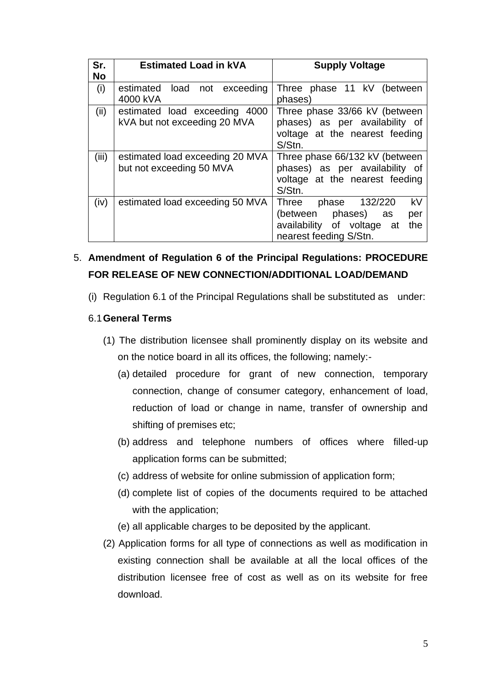| Sr.       | <b>Estimated Load in kVA</b>    | <b>Supply Voltage</b>             |  |
|-----------|---------------------------------|-----------------------------------|--|
| <b>No</b> |                                 |                                   |  |
| (i)       | estimated load not exceeding    | Three phase 11 kV (between        |  |
|           | 4000 kVA                        | phases)                           |  |
| (ii)      | estimated load exceeding 4000   | Three phase 33/66 kV (between     |  |
|           | kVA but not exceeding 20 MVA    | phases) as per availability of    |  |
|           |                                 | voltage at the nearest feeding    |  |
|           |                                 | S/Stn.                            |  |
| (iii)     | estimated load exceeding 20 MVA | Three phase 66/132 kV (between    |  |
|           | but not exceeding 50 MVA        | phases) as per availability of    |  |
|           | voltage at the nearest feeding  |                                   |  |
|           |                                 | S/Stn.                            |  |
| (iv)      | estimated load exceeding 50 MVA | kV<br>Three<br>132/220<br>phase   |  |
|           |                                 | (between phases) as<br>per        |  |
|           |                                 | availability of voltage at<br>the |  |
|           |                                 | nearest feeding S/Stn.            |  |

# 5. **Amendment of Regulation 6 of the Principal Regulations: PROCEDURE FOR RELEASE OF NEW CONNECTION/ADDITIONAL LOAD/DEMAND**

(i) Regulation 6.1 of the Principal Regulations shall be substituted as under:

# 6.1**General Terms**

- (1) The distribution licensee shall prominently display on its website and on the notice board in all its offices, the following; namely:-
	- (a) detailed procedure for grant of new connection, temporary connection, change of consumer category, enhancement of load, reduction of load or change in name, transfer of ownership and shifting of premises etc;
	- (b) address and telephone numbers of offices where filled-up application forms can be submitted;
	- (c) address of website for online submission of application form;
	- (d) complete list of copies of the documents required to be attached with the application;
	- (e) all applicable charges to be deposited by the applicant.
- (2) Application forms for all type of connections as well as modification in existing connection shall be available at all the local offices of the distribution licensee free of cost as well as on its website for free download.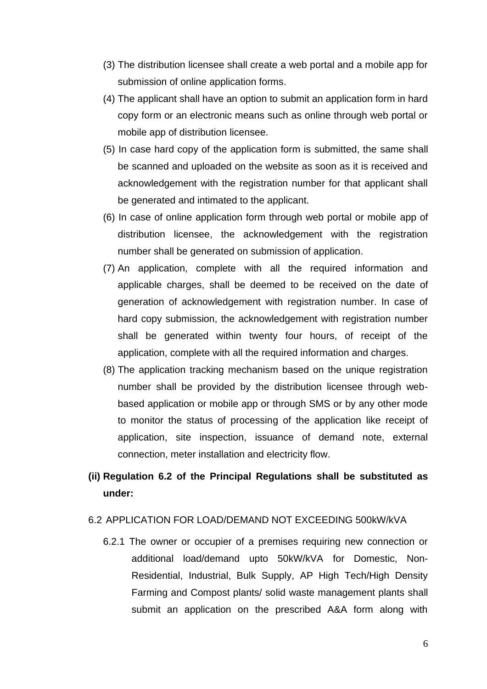- (3) The distribution licensee shall create a web portal and a mobile app for submission of online application forms.
- (4) The applicant shall have an option to submit an application form in hard copy form or an electronic means such as online through web portal or mobile app of distribution licensee.
- (5) In case hard copy of the application form is submitted, the same shall be scanned and uploaded on the website as soon as it is received and acknowledgement with the registration number for that applicant shall be generated and intimated to the applicant.
- (6) In case of online application form through web portal or mobile app of distribution licensee, the acknowledgement with the registration number shall be generated on submission of application.
- (7) An application, complete with all the required information and applicable charges, shall be deemed to be received on the date of generation of acknowledgement with registration number. In case of hard copy submission, the acknowledgement with registration number shall be generated within twenty four hours, of receipt of the application, complete with all the required information and charges.
- (8) The application tracking mechanism based on the unique registration number shall be provided by the distribution licensee through webbased application or mobile app or through SMS or by any other mode to monitor the status of processing of the application like receipt of application, site inspection, issuance of demand note, external connection, meter installation and electricity flow.
- **(ii) Regulation 6.2 of the Principal Regulations shall be substituted as under:**

#### 6.2 APPLICATION FOR LOAD/DEMAND NOT EXCEEDING 500kW/kVA

6.2.1 The owner or occupier of a premises requiring new connection or additional load/demand upto 50kW/kVA for Domestic, Non-Residential, Industrial, Bulk Supply, AP High Tech/High Density Farming and Compost plants/ solid waste management plants shall submit an application on the prescribed A&A form along with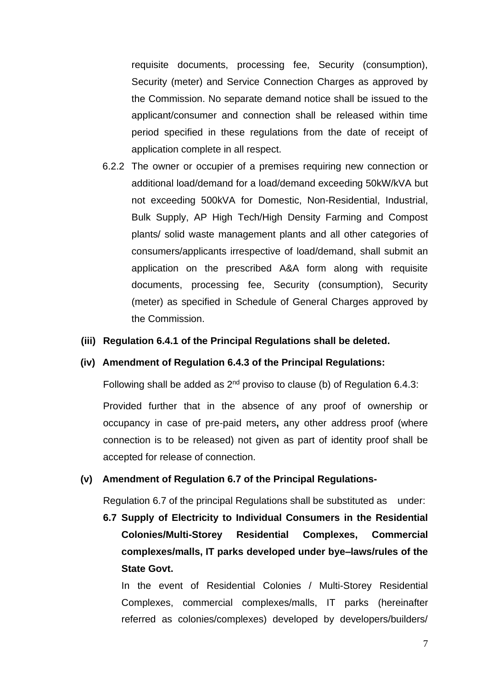requisite documents, processing fee, Security (consumption), Security (meter) and Service Connection Charges as approved by the Commission. No separate demand notice shall be issued to the applicant/consumer and connection shall be released within time period specified in these regulations from the date of receipt of application complete in all respect.

6.2.2 The owner or occupier of a premises requiring new connection or additional load/demand for a load/demand exceeding 50kW/kVA but not exceeding 500kVA for Domestic, Non-Residential, Industrial, Bulk Supply, AP High Tech/High Density Farming and Compost plants/ solid waste management plants and all other categories of consumers/applicants irrespective of load/demand, shall submit an application on the prescribed A&A form along with requisite documents, processing fee, Security (consumption), Security (meter) as specified in Schedule of General Charges approved by the Commission.

#### **(iii) Regulation 6.4.1 of the Principal Regulations shall be deleted.**

#### **(iv) Amendment of Regulation 6.4.3 of the Principal Regulations:**

Following shall be added as  $2^{nd}$  proviso to clause (b) of Regulation 6.4.3:

Provided further that in the absence of any proof of ownership or occupancy in case of pre-paid meters**,** any other address proof (where connection is to be released) not given as part of identity proof shall be accepted for release of connection.

#### **(v) Amendment of Regulation 6.7 of the Principal Regulations-**

Regulation 6.7 of the principal Regulations shall be substituted as under:

**6.7 Supply of Electricity to Individual Consumers in the Residential Colonies/Multi-Storey Residential Complexes, Commercial complexes/malls, IT parks developed under bye–laws/rules of the State Govt.**

In the event of Residential Colonies / Multi-Storey Residential Complexes, commercial complexes/malls, IT parks (hereinafter referred as colonies/complexes) developed by developers/builders/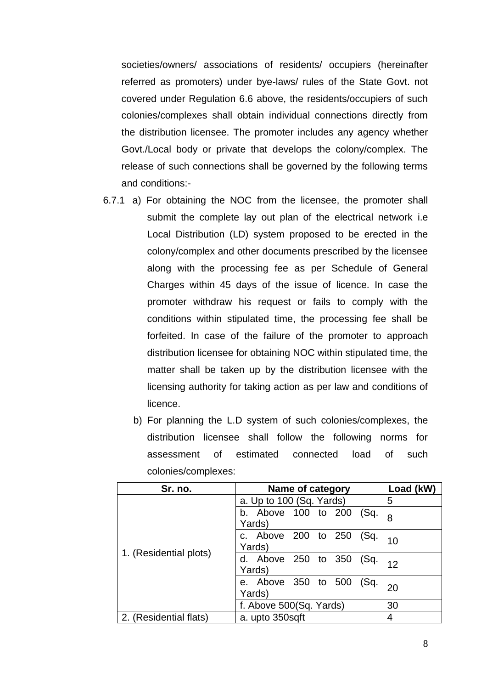societies/owners/ associations of residents/ occupiers (hereinafter referred as promoters) under bye-laws/ rules of the State Govt. not covered under Regulation 6.6 above, the residents/occupiers of such colonies/complexes shall obtain individual connections directly from the distribution licensee. The promoter includes any agency whether Govt./Local body or private that develops the colony/complex. The release of such connections shall be governed by the following terms and conditions:-

- 6.7.1 a) For obtaining the NOC from the licensee, the promoter shall submit the complete lay out plan of the electrical network i.e Local Distribution (LD) system proposed to be erected in the colony/complex and other documents prescribed by the licensee along with the processing fee as per Schedule of General Charges within 45 days of the issue of licence. In case the promoter withdraw his request or fails to comply with the conditions within stipulated time, the processing fee shall be forfeited. In case of the failure of the promoter to approach distribution licensee for obtaining NOC within stipulated time, the matter shall be taken up by the distribution licensee with the licensing authority for taking action as per law and conditions of licence.
	- b) For planning the L.D system of such colonies/complexes, the distribution licensee shall follow the following norms for assessment of estimated connected load of such colonies/complexes:

| Sr. no.                | Name of category                      | Load (kW) |
|------------------------|---------------------------------------|-----------|
|                        | a. Up to 100 (Sq. Yards)              | 5         |
|                        | b. Above 100 to 200<br>(Sq.<br>Yards) | 8         |
|                        | c. Above 200 to 250<br>(Sq.<br>Yards) | 10        |
| 1. (Residential plots) | d. Above 250 to 350<br>(Sq)<br>Yards) | 12        |
|                        | e. Above 350 to 500<br>(Sq.<br>Yards) | 20        |
|                        | f. Above 500(Sq. Yards)               | 30        |
| 2. (Residential flats) | a. upto 350sqft                       | 4         |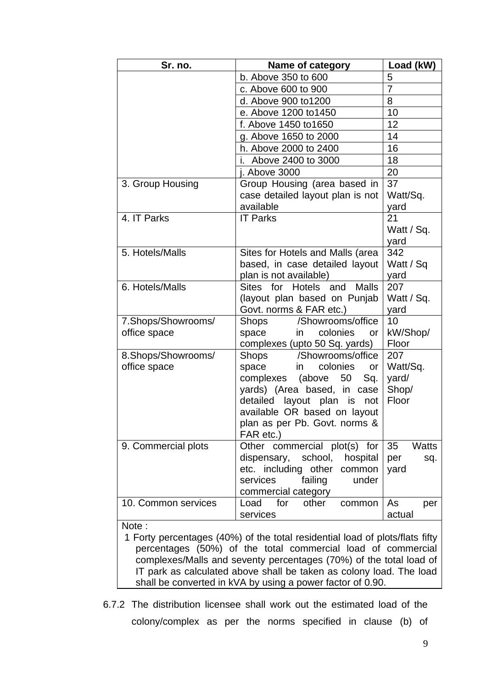| Sr. no.                            | Name of category                                                                                                                                                                                                                                             | Load (kW)                                  |
|------------------------------------|--------------------------------------------------------------------------------------------------------------------------------------------------------------------------------------------------------------------------------------------------------------|--------------------------------------------|
|                                    | b. Above 350 to 600                                                                                                                                                                                                                                          | 5                                          |
|                                    | c. Above 600 to 900                                                                                                                                                                                                                                          | $\overline{7}$                             |
|                                    | d. Above 900 to 1200                                                                                                                                                                                                                                         | 8                                          |
|                                    | e. Above 1200 to 1450                                                                                                                                                                                                                                        | 10                                         |
|                                    | f. Above 1450 to 1650                                                                                                                                                                                                                                        | 12                                         |
|                                    | g. Above 1650 to 2000                                                                                                                                                                                                                                        | 14                                         |
|                                    | h. Above 2000 to 2400                                                                                                                                                                                                                                        | 16                                         |
|                                    | Above 2400 to 3000                                                                                                                                                                                                                                           | 18                                         |
|                                    | j. Above 3000                                                                                                                                                                                                                                                | 20                                         |
| 3. Group Housing                   | Group Housing (area based in<br>case detailed layout plan is not<br>available                                                                                                                                                                                | 37<br>Watt/Sq.<br>yard                     |
| 4. IT Parks                        | <b>IT Parks</b>                                                                                                                                                                                                                                              | 21<br>Watt / Sq.<br>yard                   |
| 5. Hotels/Malls                    | Sites for Hotels and Malls (area<br>based, in case detailed layout<br>plan is not available)                                                                                                                                                                 | 342<br>Watt / Sq<br>yard                   |
| 6. Hotels/Malls                    | Sites for Hotels and Malls<br>(layout plan based on Punjab<br>Govt. norms & FAR etc.)                                                                                                                                                                        | 207<br>Watt / Sq.<br>yard                  |
| 7.Shops/Showrooms/<br>office space | /Showrooms/office<br>Shops<br>colonies<br>space<br>in<br>or<br>complexes (upto 50 Sq. yards)                                                                                                                                                                 | 10<br>kW/Shop/<br>Floor                    |
| 8.Shops/Showrooms/<br>office space | /Showrooms/office<br><b>Shops</b><br>colonies<br>space<br><i>in</i><br>or<br>complexes<br>(above<br>50<br>Sq.<br>yards) (Area based, in case<br>detailed layout plan is<br>not<br>available OR based on layout<br>plan as per Pb. Govt. norms &<br>FAR etc.) | 207<br>Watt/Sq.<br>yard/<br>Shop/<br>Floor |
| 9. Commercial plots                | Other commercial plot(s) for<br>dispensary, school, hospital<br>etc. including other<br>common<br>services<br>failing<br>under<br>commercial category                                                                                                        | 35<br><b>Watts</b><br>per<br>sq.<br>yard   |
| 10. Common services                | other<br>Load<br>for<br>common<br>services                                                                                                                                                                                                                   | As<br>per<br>actual                        |
| Note:                              |                                                                                                                                                                                                                                                              |                                            |

1 Forty percentages (40%) of the total residential load of plots/flats fifty percentages (50%) of the total commercial load of commercial complexes/Malls and seventy percentages (70%) of the total load of IT park as calculated above shall be taken as colony load. The load shall be converted in kVA by using a power factor of 0.90.

6.7.2 The distribution licensee shall work out the estimated load of the colony/complex as per the norms specified in clause (b) of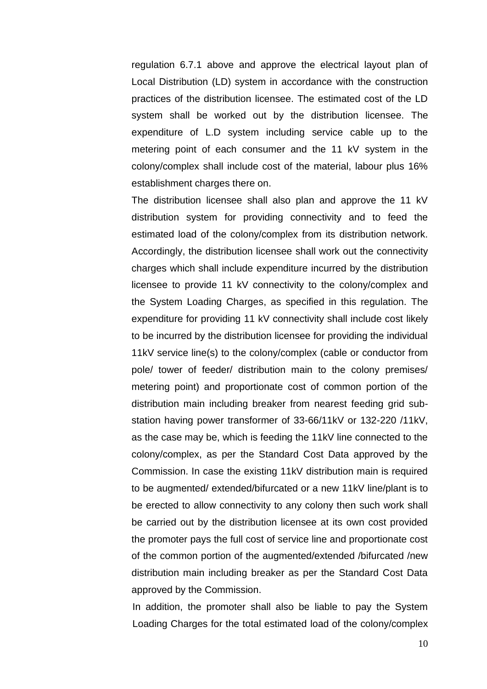regulation 6.7.1 above and approve the electrical layout plan of Local Distribution (LD) system in accordance with the construction practices of the distribution licensee. The estimated cost of the LD system shall be worked out by the distribution licensee. The expenditure of L.D system including service cable up to the metering point of each consumer and the 11 kV system in the colony/complex shall include cost of the material, labour plus 16% establishment charges there on.

The distribution licensee shall also plan and approve the 11 kV distribution system for providing connectivity and to feed the estimated load of the colony/complex from its distribution network. Accordingly, the distribution licensee shall work out the connectivity charges which shall include expenditure incurred by the distribution licensee to provide 11 kV connectivity to the colony/complex and the System Loading Charges, as specified in this regulation. The expenditure for providing 11 kV connectivity shall include cost likely to be incurred by the distribution licensee for providing the individual 11kV service line(s) to the colony/complex (cable or conductor from pole/ tower of feeder/ distribution main to the colony premises/ metering point) and proportionate cost of common portion of the distribution main including breaker from nearest feeding grid substation having power transformer of 33-66/11kV or 132-220 /11kV, as the case may be, which is feeding the 11kV line connected to the colony/complex, as per the Standard Cost Data approved by the Commission. In case the existing 11kV distribution main is required to be augmented/ extended/bifurcated or a new 11kV line/plant is to be erected to allow connectivity to any colony then such work shall be carried out by the distribution licensee at its own cost provided the promoter pays the full cost of service line and proportionate cost of the common portion of the augmented/extended /bifurcated /new distribution main including breaker as per the Standard Cost Data approved by the Commission.

In addition, the promoter shall also be liable to pay the System Loading Charges for the total estimated load of the colony/complex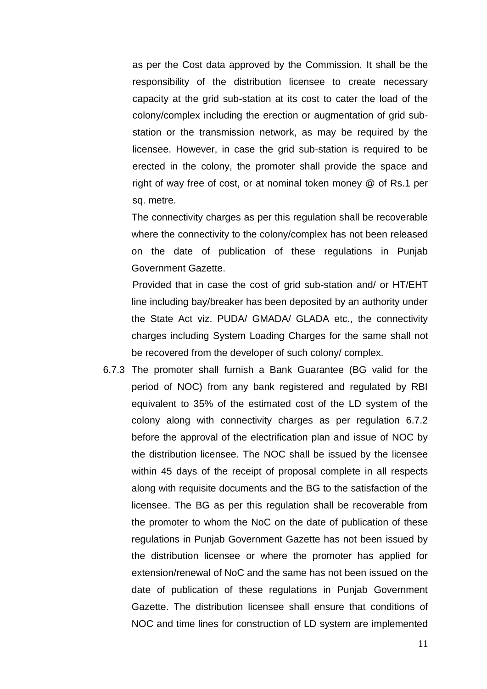as per the Cost data approved by the Commission. It shall be the responsibility of the distribution licensee to create necessary capacity at the grid sub-station at its cost to cater the load of the colony/complex including the erection or augmentation of grid substation or the transmission network, as may be required by the licensee. However, in case the grid sub-station is required to be erected in the colony, the promoter shall provide the space and right of way free of cost, or at nominal token money @ of Rs.1 per sq. metre.

The connectivity charges as per this regulation shall be recoverable where the connectivity to the colony/complex has not been released on the date of publication of these regulations in Punjab Government Gazette.

Provided that in case the cost of grid sub-station and/ or HT/EHT line including bay/breaker has been deposited by an authority under the State Act viz. PUDA/ GMADA/ GLADA etc., the connectivity charges including System Loading Charges for the same shall not be recovered from the developer of such colony/ complex.

6.7.3 The promoter shall furnish a Bank Guarantee (BG valid for the period of NOC) from any bank registered and regulated by RBI equivalent to 35% of the estimated cost of the LD system of the colony along with connectivity charges as per regulation 6.7.2 before the approval of the electrification plan and issue of NOC by the distribution licensee. The NOC shall be issued by the licensee within 45 days of the receipt of proposal complete in all respects along with requisite documents and the BG to the satisfaction of the licensee. The BG as per this regulation shall be recoverable from the promoter to whom the NoC on the date of publication of these regulations in Punjab Government Gazette has not been issued by the distribution licensee or where the promoter has applied for extension/renewal of NoC and the same has not been issued on the date of publication of these regulations in Punjab Government Gazette. The distribution licensee shall ensure that conditions of NOC and time lines for construction of LD system are implemented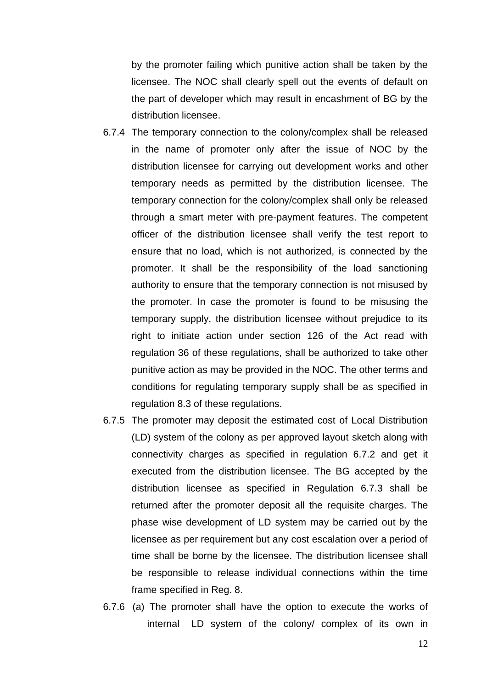by the promoter failing which punitive action shall be taken by the licensee. The NOC shall clearly spell out the events of default on the part of developer which may result in encashment of BG by the distribution licensee.

- 6.7.4 The temporary connection to the colony/complex shall be released in the name of promoter only after the issue of NOC by the distribution licensee for carrying out development works and other temporary needs as permitted by the distribution licensee. The temporary connection for the colony/complex shall only be released through a smart meter with pre-payment features. The competent officer of the distribution licensee shall verify the test report to ensure that no load, which is not authorized, is connected by the promoter. It shall be the responsibility of the load sanctioning authority to ensure that the temporary connection is not misused by the promoter. In case the promoter is found to be misusing the temporary supply, the distribution licensee without prejudice to its right to initiate action under section 126 of the Act read with regulation 36 of these regulations, shall be authorized to take other punitive action as may be provided in the NOC. The other terms and conditions for regulating temporary supply shall be as specified in regulation 8.3 of these regulations.
- 6.7.5 The promoter may deposit the estimated cost of Local Distribution (LD) system of the colony as per approved layout sketch along with connectivity charges as specified in regulation 6.7.2 and get it executed from the distribution licensee. The BG accepted by the distribution licensee as specified in Regulation 6.7.3 shall be returned after the promoter deposit all the requisite charges. The phase wise development of LD system may be carried out by the licensee as per requirement but any cost escalation over a period of time shall be borne by the licensee. The distribution licensee shall be responsible to release individual connections within the time frame specified in Reg. 8.
- 6.7.6 (a) The promoter shall have the option to execute the works of internal LD system of the colony/ complex of its own in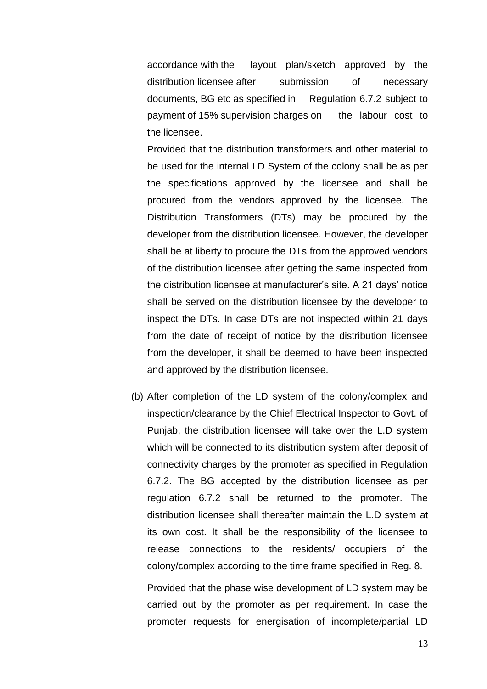accordance with the layout plan/sketch approved by the distribution licensee after submission of necessary documents, BG etc as specified in Regulation 6.7.2 subject to payment of 15% supervision charges on the labour cost to the licensee.

Provided that the distribution transformers and other material to be used for the internal LD System of the colony shall be as per the specifications approved by the licensee and shall be procured from the vendors approved by the licensee. The Distribution Transformers (DTs) may be procured by the developer from the distribution licensee. However, the developer shall be at liberty to procure the DTs from the approved vendors of the distribution licensee after getting the same inspected from the distribution licensee at manufacturer's site. A 21 days' notice shall be served on the distribution licensee by the developer to inspect the DTs. In case DTs are not inspected within 21 days from the date of receipt of notice by the distribution licensee from the developer, it shall be deemed to have been inspected and approved by the distribution licensee.

(b) After completion of the LD system of the colony/complex and inspection/clearance by the Chief Electrical Inspector to Govt. of Punjab, the distribution licensee will take over the L.D system which will be connected to its distribution system after deposit of connectivity charges by the promoter as specified in Regulation 6.7.2. The BG accepted by the distribution licensee as per regulation 6.7.2 shall be returned to the promoter. The distribution licensee shall thereafter maintain the L.D system at its own cost. It shall be the responsibility of the licensee to release connections to the residents/ occupiers of the colony/complex according to the time frame specified in Reg. 8.

Provided that the phase wise development of LD system may be carried out by the promoter as per requirement. In case the promoter requests for energisation of incomplete/partial LD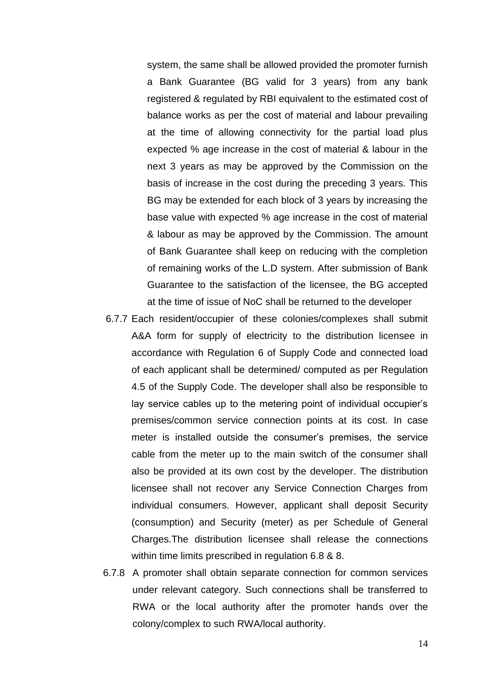system, the same shall be allowed provided the promoter furnish a Bank Guarantee (BG valid for 3 years) from any bank registered & regulated by RBI equivalent to the estimated cost of balance works as per the cost of material and labour prevailing at the time of allowing connectivity for the partial load plus expected % age increase in the cost of material & labour in the next 3 years as may be approved by the Commission on the basis of increase in the cost during the preceding 3 years. This BG may be extended for each block of 3 years by increasing the base value with expected % age increase in the cost of material & labour as may be approved by the Commission. The amount of Bank Guarantee shall keep on reducing with the completion of remaining works of the L.D system. After submission of Bank Guarantee to the satisfaction of the licensee, the BG accepted at the time of issue of NoC shall be returned to the developer

- 6.7.7 Each resident/occupier of these colonies/complexes shall submit A&A form for supply of electricity to the distribution licensee in accordance with Regulation 6 of Supply Code and connected load of each applicant shall be determined/ computed as per Regulation 4.5 of the Supply Code. The developer shall also be responsible to lay service cables up to the metering point of individual occupier's premises/common service connection points at its cost. In case meter is installed outside the consumer's premises, the service cable from the meter up to the main switch of the consumer shall also be provided at its own cost by the developer. The distribution licensee shall not recover any Service Connection Charges from individual consumers. However, applicant shall deposit Security (consumption) and Security (meter) as per Schedule of General Charges.The distribution licensee shall release the connections within time limits prescribed in regulation 6.8 & 8.
- 6.7.8 A promoter shall obtain separate connection for common services under relevant category. Such connections shall be transferred to RWA or the local authority after the promoter hands over the colony/complex to such RWA/local authority.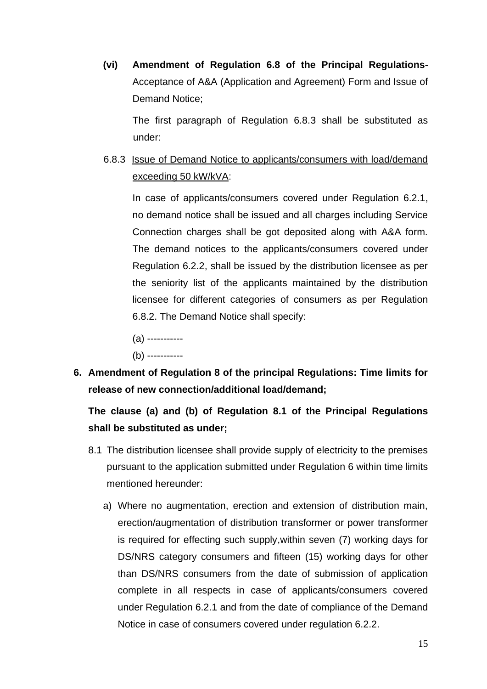**(vi) Amendment of Regulation 6.8 of the Principal Regulations-**Acceptance of A&A (Application and Agreement) Form and Issue of Demand Notice;

The first paragraph of Regulation 6.8.3 shall be substituted as under:

6.8.3 Issue of Demand Notice to applicants/consumers with load/demand exceeding 50 kW/kVA:

In case of applicants/consumers covered under Regulation 6.2.1, no demand notice shall be issued and all charges including Service Connection charges shall be got deposited along with A&A form. The demand notices to the applicants/consumers covered under Regulation 6.2.2, shall be issued by the distribution licensee as per the seniority list of the applicants maintained by the distribution licensee for different categories of consumers as per Regulation 6.8.2. The Demand Notice shall specify:

- (a) -----------
- (b) -----------
- **6. Amendment of Regulation 8 of the principal Regulations: Time limits for release of new connection/additional load/demand;**

# **The clause (a) and (b) of Regulation 8.1 of the Principal Regulations shall be substituted as under;**

- 8.1 The distribution licensee shall provide supply of electricity to the premises pursuant to the application submitted under Regulation 6 within time limits mentioned hereunder:
	- a) Where no augmentation, erection and extension of distribution main, erection/augmentation of distribution transformer or power transformer is required for effecting such supply,within seven (7) working days for DS/NRS category consumers and fifteen (15) working days for other than DS/NRS consumers from the date of submission of application complete in all respects in case of applicants/consumers covered under Regulation 6.2.1 and from the date of compliance of the Demand Notice in case of consumers covered under regulation 6.2.2.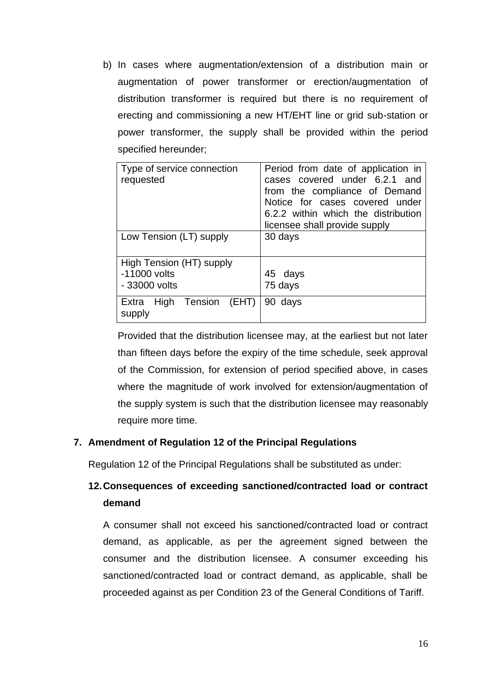b) In cases where augmentation/extension of a distribution main or augmentation of power transformer or erection/augmentation of distribution transformer is required but there is no requirement of erecting and commissioning a new HT/EHT line or grid sub-station or power transformer, the supply shall be provided within the period specified hereunder;

| Type of service connection<br>requested                     | Period from date of application in<br>cases covered under 6.2.1 and<br>from the compliance of Demand<br>Notice for cases covered under<br>6.2.2 within which the distribution<br>licensee shall provide supply |  |  |
|-------------------------------------------------------------|----------------------------------------------------------------------------------------------------------------------------------------------------------------------------------------------------------------|--|--|
| Low Tension (LT) supply                                     | 30 days                                                                                                                                                                                                        |  |  |
| High Tension (HT) supply<br>$-11000$ volts<br>- 33000 volts | 45 days<br>75 days                                                                                                                                                                                             |  |  |
| Extra High Tension (EHT)<br>supply                          | 90<br>days                                                                                                                                                                                                     |  |  |

Provided that the distribution licensee may, at the earliest but not later than fifteen days before the expiry of the time schedule, seek approval of the Commission, for extension of period specified above, in cases where the magnitude of work involved for extension/augmentation of the supply system is such that the distribution licensee may reasonably require more time.

# **7. Amendment of Regulation 12 of the Principal Regulations**

Regulation 12 of the Principal Regulations shall be substituted as under:

# **12.Consequences of exceeding sanctioned/contracted load or contract demand**

A consumer shall not exceed his sanctioned/contracted load or contract demand, as applicable, as per the agreement signed between the consumer and the distribution licensee. A consumer exceeding his sanctioned/contracted load or contract demand, as applicable, shall be proceeded against as per Condition 23 of the General Conditions of Tariff.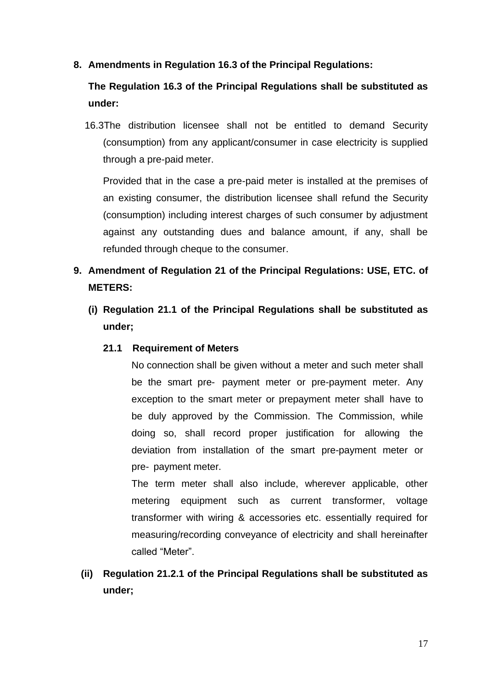**8. Amendments in Regulation 16.3 of the Principal Regulations:**

**The Regulation 16.3 of the Principal Regulations shall be substituted as under:**

16.3The distribution licensee shall not be entitled to demand Security (consumption) from any applicant/consumer in case electricity is supplied through a pre-paid meter.

Provided that in the case a pre-paid meter is installed at the premises of an existing consumer, the distribution licensee shall refund the Security (consumption) including interest charges of such consumer by adjustment against any outstanding dues and balance amount, if any, shall be refunded through cheque to the consumer.

# **9. Amendment of Regulation 21 of the Principal Regulations: USE, ETC. of METERS:**

**(i) Regulation 21.1 of the Principal Regulations shall be substituted as under;**

### **21.1 Requirement of Meters**

No connection shall be given without a meter and such meter shall be the smart pre- payment meter or pre-payment meter. Any exception to the smart meter or prepayment meter shall have to be duly approved by the Commission. The Commission, while doing so, shall record proper justification for allowing the deviation from installation of the smart pre-payment meter or pre- payment meter.

The term meter shall also include, wherever applicable, other metering equipment such as current transformer, voltage transformer with wiring & accessories etc. essentially required for measuring/recording conveyance of electricity and shall hereinafter called "Meter".

**(ii) Regulation 21.2.1 of the Principal Regulations shall be substituted as under;**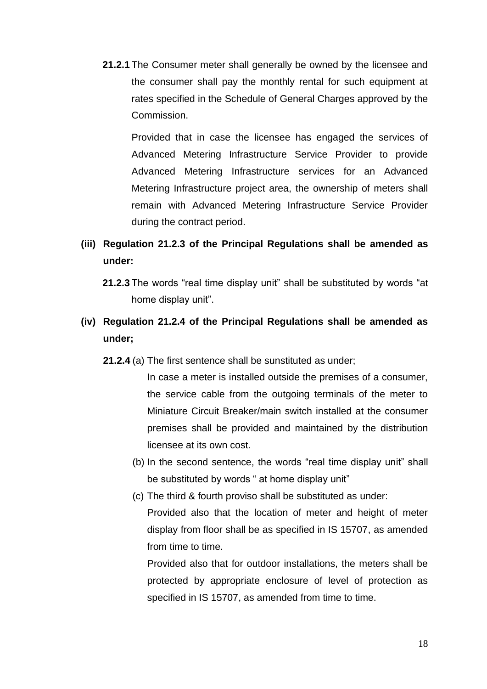**21.2.1** The Consumer meter shall generally be owned by the licensee and the consumer shall pay the monthly rental for such equipment at rates specified in the Schedule of General Charges approved by the Commission.

Provided that in case the licensee has engaged the services of Advanced Metering Infrastructure Service Provider to provide Advanced Metering Infrastructure services for an Advanced Metering Infrastructure project area, the ownership of meters shall remain with Advanced Metering Infrastructure Service Provider during the contract period.

- **(iii) Regulation 21.2.3 of the Principal Regulations shall be amended as under:**
	- **21.2.3** The words "real time display unit" shall be substituted by words "at home display unit".
- **(iv) Regulation 21.2.4 of the Principal Regulations shall be amended as under;**
	- **21.2.4** (a) The first sentence shall be sunstituted as under;

In case a meter is installed outside the premises of a consumer, the service cable from the outgoing terminals of the meter to Miniature Circuit Breaker/main switch installed at the consumer premises shall be provided and maintained by the distribution licensee at its own cost.

- (b) In the second sentence, the words "real time display unit" shall be substituted by words " at home display unit"
- (c) The third & fourth proviso shall be substituted as under: Provided also that the location of meter and height of meter display from floor shall be as specified in IS 15707, as amended from time to time.

Provided also that for outdoor installations, the meters shall be protected by appropriate enclosure of level of protection as specified in IS 15707, as amended from time to time.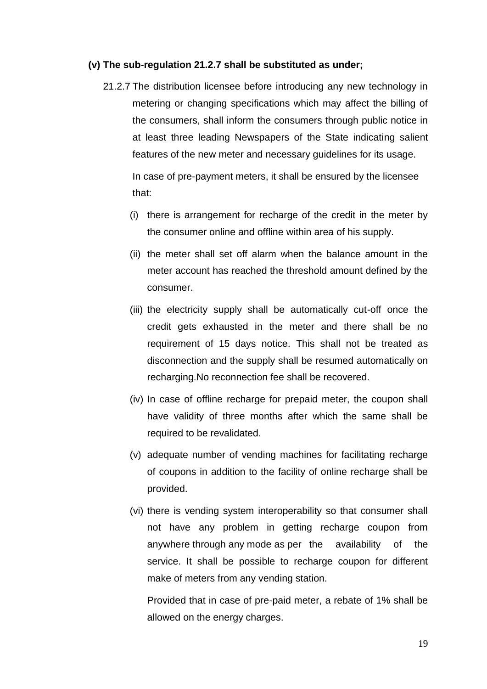#### **(v) The sub-regulation 21.2.7 shall be substituted as under;**

21.2.7 The distribution licensee before introducing any new technology in metering or changing specifications which may affect the billing of the consumers, shall inform the consumers through public notice in at least three leading Newspapers of the State indicating salient features of the new meter and necessary guidelines for its usage.

In case of pre-payment meters, it shall be ensured by the licensee that:

- (i) there is arrangement for recharge of the credit in the meter by the consumer online and offline within area of his supply.
- (ii) the meter shall set off alarm when the balance amount in the meter account has reached the threshold amount defined by the consumer.
- (iii) the electricity supply shall be automatically cut-off once the credit gets exhausted in the meter and there shall be no requirement of 15 days notice. This shall not be treated as disconnection and the supply shall be resumed automatically on recharging.No reconnection fee shall be recovered.
- (iv) In case of offline recharge for prepaid meter, the coupon shall have validity of three months after which the same shall be required to be revalidated.
- (v) adequate number of vending machines for facilitating recharge of coupons in addition to the facility of online recharge shall be provided.
- (vi) there is vending system interoperability so that consumer shall not have any problem in getting recharge coupon from anywhere through any mode as per the availability of the service. It shall be possible to recharge coupon for different make of meters from any vending station.

Provided that in case of pre-paid meter, a rebate of 1% shall be allowed on the energy charges.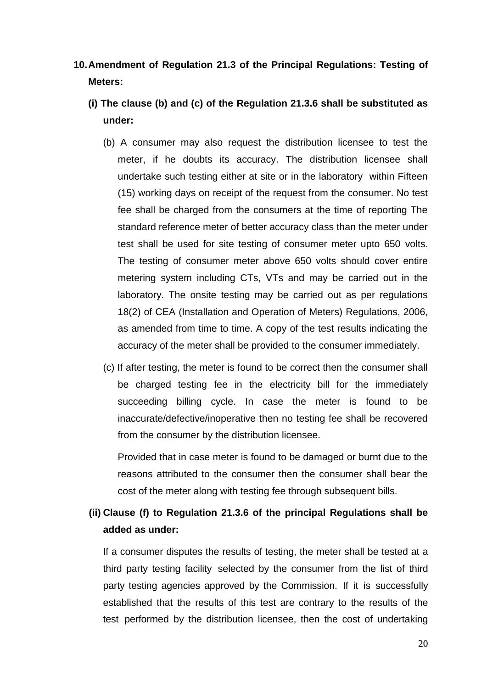# **10.Amendment of Regulation 21.3 of the Principal Regulations: Testing of Meters:**

- **(i) The clause (b) and (c) of the Regulation 21.3.6 shall be substituted as under:**
	- (b) A consumer may also request the distribution licensee to test the meter, if he doubts its accuracy. The distribution licensee shall undertake such testing either at site or in the laboratory within Fifteen (15) working days on receipt of the request from the consumer. No test fee shall be charged from the consumers at the time of reporting The standard reference meter of better accuracy class than the meter under test shall be used for site testing of consumer meter upto 650 volts. The testing of consumer meter above 650 volts should cover entire metering system including CTs, VTs and may be carried out in the laboratory. The onsite testing may be carried out as per regulations 18(2) of CEA (Installation and Operation of Meters) Regulations, 2006, as amended from time to time. A copy of the test results indicating the accuracy of the meter shall be provided to the consumer immediately.
	- (c) If after testing, the meter is found to be correct then the consumer shall be charged testing fee in the electricity bill for the immediately succeeding billing cycle. In case the meter is found to be inaccurate/defective/inoperative then no testing fee shall be recovered from the consumer by the distribution licensee.

Provided that in case meter is found to be damaged or burnt due to the reasons attributed to the consumer then the consumer shall bear the cost of the meter along with testing fee through subsequent bills.

# **(ii) Clause (f) to Regulation 21.3.6 of the principal Regulations shall be added as under:**

If a consumer disputes the results of testing, the meter shall be tested at a third party testing facility selected by the consumer from the list of third party testing agencies approved by the Commission. If it is successfully established that the results of this test are contrary to the results of the test performed by the distribution licensee, then the cost of undertaking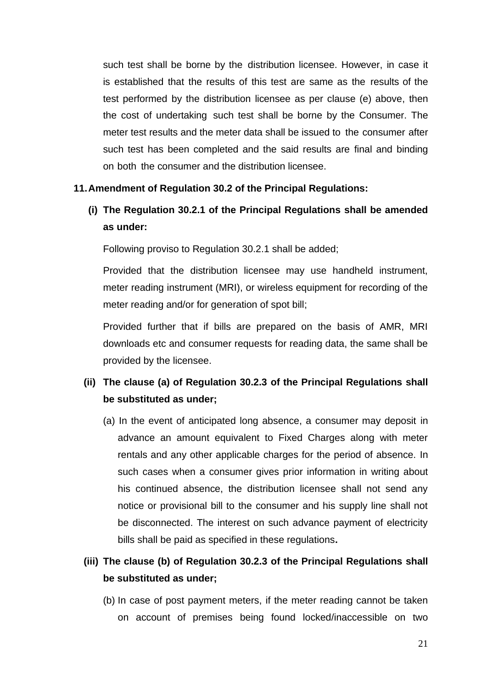such test shall be borne by the distribution licensee. However, in case it is established that the results of this test are same as the results of the test performed by the distribution licensee as per clause (e) above, then the cost of undertaking such test shall be borne by the Consumer. The meter test results and the meter data shall be issued to the consumer after such test has been completed and the said results are final and binding on both the consumer and the distribution licensee.

### **11.Amendment of Regulation 30.2 of the Principal Regulations:**

# **(i) The Regulation 30.2.1 of the Principal Regulations shall be amended as under:**

Following proviso to Regulation 30.2.1 shall be added;

Provided that the distribution licensee may use handheld instrument, meter reading instrument (MRI), or wireless equipment for recording of the meter reading and/or for generation of spot bill;

Provided further that if bills are prepared on the basis of AMR, MRI downloads etc and consumer requests for reading data, the same shall be provided by the licensee.

# **(ii) The clause (a) of Regulation 30.2.3 of the Principal Regulations shall be substituted as under;**

(a) In the event of anticipated long absence, a consumer may deposit in advance an amount equivalent to Fixed Charges along with meter rentals and any other applicable charges for the period of absence. In such cases when a consumer gives prior information in writing about his continued absence, the distribution licensee shall not send any notice or provisional bill to the consumer and his supply line shall not be disconnected. The interest on such advance payment of electricity bills shall be paid as specified in these regulations**.**

# **(iii) The clause (b) of Regulation 30.2.3 of the Principal Regulations shall be substituted as under;**

(b) In case of post payment meters, if the meter reading cannot be taken on account of premises being found locked/inaccessible on two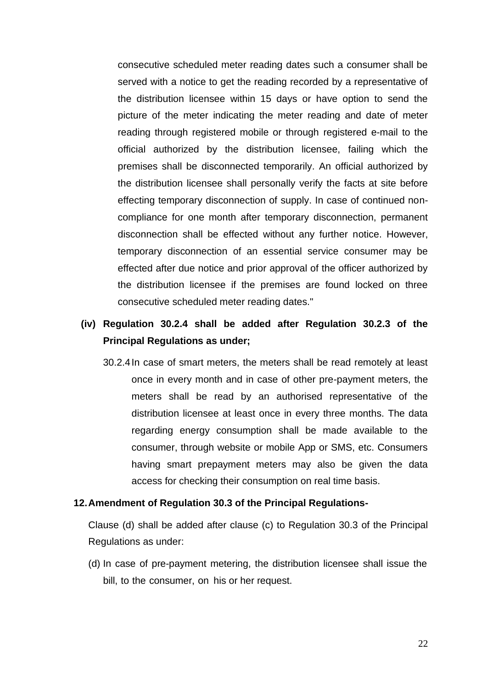consecutive scheduled meter reading dates such a consumer shall be served with a notice to get the reading recorded by a representative of the distribution licensee within 15 days or have option to send the picture of the meter indicating the meter reading and date of meter reading through registered mobile or through registered e-mail to the official authorized by the distribution licensee, failing which the premises shall be disconnected temporarily. An official authorized by the distribution licensee shall personally verify the facts at site before effecting temporary disconnection of supply. In case of continued noncompliance for one month after temporary disconnection, permanent disconnection shall be effected without any further notice. However, temporary disconnection of an essential service consumer may be effected after due notice and prior approval of the officer authorized by the distribution licensee if the premises are found locked on three consecutive scheduled meter reading dates."

# **(iv) Regulation 30.2.4 shall be added after Regulation 30.2.3 of the Principal Regulations as under;**

30.2.4In case of smart meters, the meters shall be read remotely at least once in every month and in case of other pre-payment meters, the meters shall be read by an authorised representative of the distribution licensee at least once in every three months. The data regarding energy consumption shall be made available to the consumer, through website or mobile App or SMS, etc. Consumers having smart prepayment meters may also be given the data access for checking their consumption on real time basis.

#### **12.Amendment of Regulation 30.3 of the Principal Regulations-**

Clause (d) shall be added after clause (c) to Regulation 30.3 of the Principal Regulations as under:

(d) In case of pre-payment metering, the distribution licensee shall issue the bill, to the consumer, on his or her request.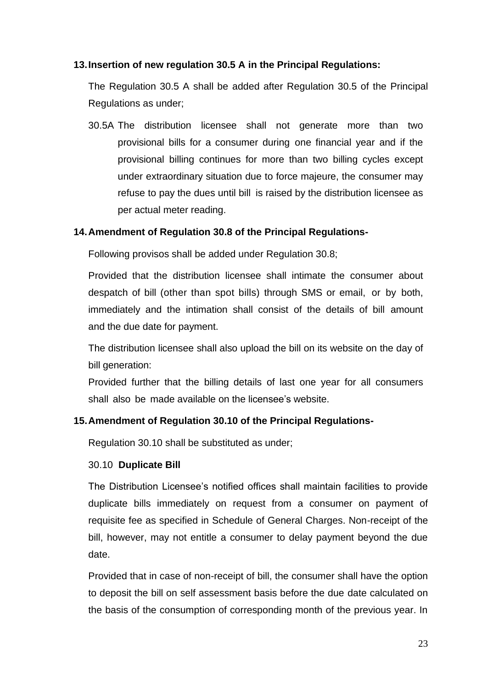## **13.Insertion of new regulation 30.5 A in the Principal Regulations:**

The Regulation 30.5 A shall be added after Regulation 30.5 of the Principal Regulations as under;

30.5A The distribution licensee shall not generate more than two provisional bills for a consumer during one financial year and if the provisional billing continues for more than two billing cycles except under extraordinary situation due to force majeure, the consumer may refuse to pay the dues until bill is raised by the distribution licensee as per actual meter reading.

## **14.Amendment of Regulation 30.8 of the Principal Regulations-**

Following provisos shall be added under Regulation 30.8;

Provided that the distribution licensee shall intimate the consumer about despatch of bill (other than spot bills) through SMS or email, or by both, immediately and the intimation shall consist of the details of bill amount and the due date for payment.

The distribution licensee shall also upload the bill on its website on the day of bill generation:

Provided further that the billing details of last one year for all consumers shall also be made available on the licensee's website.

# **15.Amendment of Regulation 30.10 of the Principal Regulations-**

Regulation 30.10 shall be substituted as under;

### 30.10 **Duplicate Bill**

The Distribution Licensee's notified offices shall maintain facilities to provide duplicate bills immediately on request from a consumer on payment of requisite fee as specified in Schedule of General Charges. Non-receipt of the bill, however, may not entitle a consumer to delay payment beyond the due date.

Provided that in case of non-receipt of bill, the consumer shall have the option to deposit the bill on self assessment basis before the due date calculated on the basis of the consumption of corresponding month of the previous year. In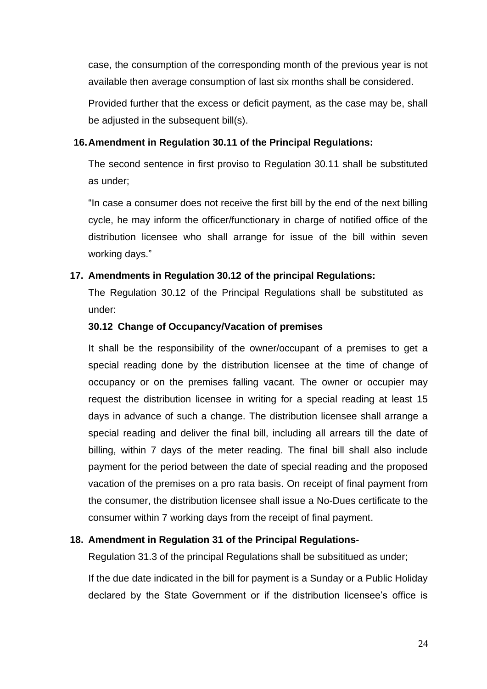case, the consumption of the corresponding month of the previous year is not available then average consumption of last six months shall be considered.

Provided further that the excess or deficit payment, as the case may be, shall be adjusted in the subsequent bill(s).

### **16.Amendment in Regulation 30.11 of the Principal Regulations:**

The second sentence in first proviso to Regulation 30.11 shall be substituted as under;

"In case a consumer does not receive the first bill by the end of the next billing cycle, he may inform the officer/functionary in charge of notified office of the distribution licensee who shall arrange for issue of the bill within seven working days."

## **17. Amendments in Regulation 30.12 of the principal Regulations:**

The Regulation 30.12 of the Principal Regulations shall be substituted as under:

## **30.12 Change of Occupancy/Vacation of premises**

It shall be the responsibility of the owner/occupant of a premises to get a special reading done by the distribution licensee at the time of change of occupancy or on the premises falling vacant. The owner or occupier may request the distribution licensee in writing for a special reading at least 15 days in advance of such a change. The distribution licensee shall arrange a special reading and deliver the final bill, including all arrears till the date of billing, within 7 days of the meter reading. The final bill shall also include payment for the period between the date of special reading and the proposed vacation of the premises on a pro rata basis. On receipt of final payment from the consumer, the distribution licensee shall issue a No-Dues certificate to the consumer within 7 working days from the receipt of final payment.

# **18. Amendment in Regulation 31 of the Principal Regulations-**

Regulation 31.3 of the principal Regulations shall be subsititued as under;

If the due date indicated in the bill for payment is a Sunday or a Public Holiday declared by the State Government or if the distribution licensee's office is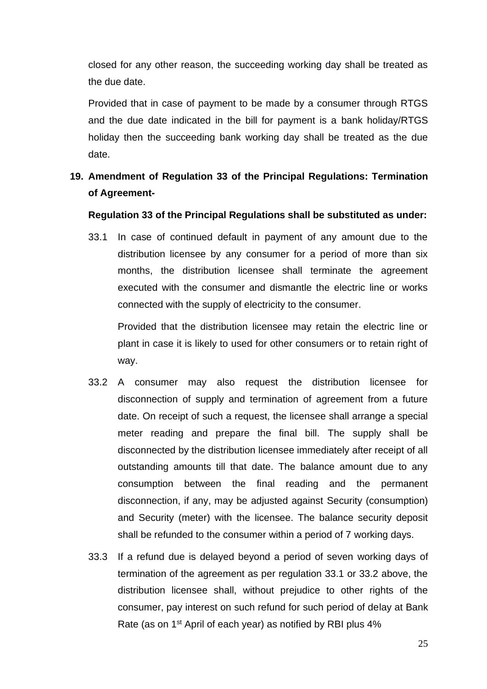closed for any other reason, the succeeding working day shall be treated as the due date.

Provided that in case of payment to be made by a consumer through RTGS and the due date indicated in the bill for payment is a bank holiday/RTGS holiday then the succeeding bank working day shall be treated as the due date.

# **19. Amendment of Regulation 33 of the Principal Regulations: Termination of Agreement-**

### **Regulation 33 of the Principal Regulations shall be substituted as under:**

33.1 In case of continued default in payment of any amount due to the distribution licensee by any consumer for a period of more than six months, the distribution licensee shall terminate the agreement executed with the consumer and dismantle the electric line or works connected with the supply of electricity to the consumer.

Provided that the distribution licensee may retain the electric line or plant in case it is likely to used for other consumers or to retain right of way.

- 33.2 A consumer may also request the distribution licensee for disconnection of supply and termination of agreement from a future date. On receipt of such a request, the licensee shall arrange a special meter reading and prepare the final bill. The supply shall be disconnected by the distribution licensee immediately after receipt of all outstanding amounts till that date. The balance amount due to any consumption between the final reading and the permanent disconnection, if any, may be adjusted against Security (consumption) and Security (meter) with the licensee. The balance security deposit shall be refunded to the consumer within a period of 7 working days.
- 33.3 If a refund due is delayed beyond a period of seven working days of termination of the agreement as per regulation 33.1 or 33.2 above, the distribution licensee shall, without prejudice to other rights of the consumer, pay interest on such refund for such period of delay at Bank Rate (as on 1st April of each year) as notified by RBI plus 4%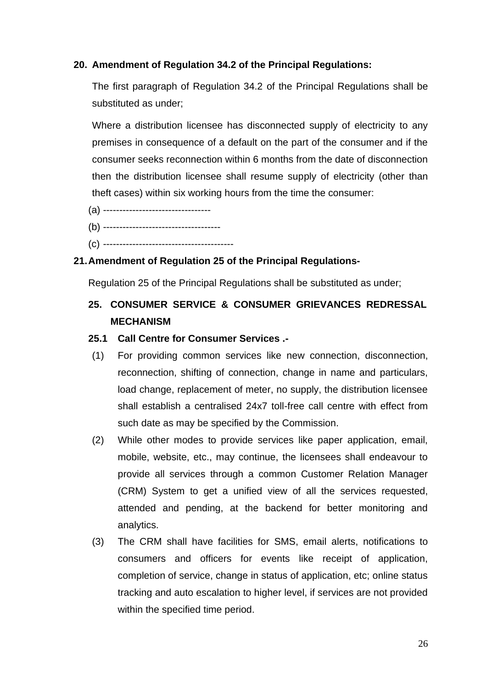## **20. Amendment of Regulation 34.2 of the Principal Regulations:**

The first paragraph of Regulation 34.2 of the Principal Regulations shall be substituted as under;

Where a distribution licensee has disconnected supply of electricity to any premises in consequence of a default on the part of the consumer and if the consumer seeks reconnection within 6 months from the date of disconnection then the distribution licensee shall resume supply of electricity (other than theft cases) within six working hours from the time the consumer:

- (a) ---------------------------------
- (b) ------------------------------------
- (c) ----------------------------------------

## **21.Amendment of Regulation 25 of the Principal Regulations-**

Regulation 25 of the Principal Regulations shall be substituted as under;

# **25. CONSUMER SERVICE & CONSUMER GRIEVANCES REDRESSAL MECHANISM**

### **25.1 Call Centre for Consumer Services .-**

- (1) For providing common services like new connection, disconnection, reconnection, shifting of connection, change in name and particulars, load change, replacement of meter, no supply, the distribution licensee shall establish a centralised 24x7 toll-free call centre with effect from such date as may be specified by the Commission.
- (2) While other modes to provide services like paper application, email, mobile, website, etc., may continue, the licensees shall endeavour to provide all services through a common Customer Relation Manager (CRM) System to get a unified view of all the services requested, attended and pending, at the backend for better monitoring and analytics.
- (3) The CRM shall have facilities for SMS, email alerts, notifications to consumers and officers for events like receipt of application, completion of service, change in status of application, etc; online status tracking and auto escalation to higher level, if services are not provided within the specified time period.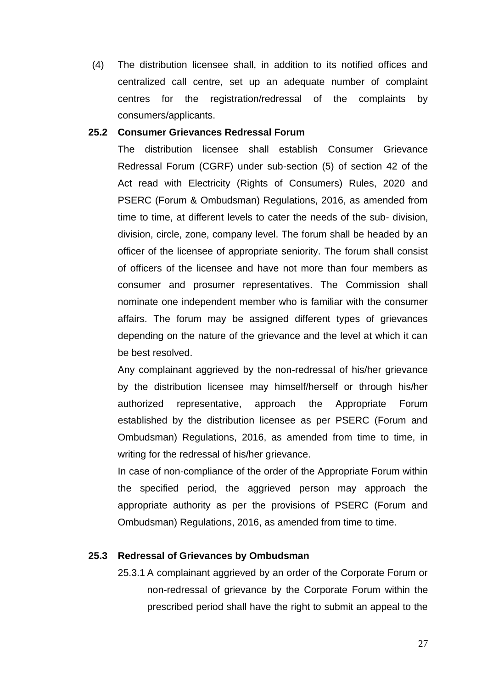(4) The distribution licensee shall, in addition to its notified offices and centralized call centre, set up an adequate number of complaint centres for the registration/redressal of the complaints by consumers/applicants.

### **25.2 Consumer Grievances Redressal Forum**

The distribution licensee shall establish Consumer Grievance Redressal Forum (CGRF) under sub-section (5) of section 42 of the Act read with Electricity (Rights of Consumers) Rules, 2020 and PSERC (Forum & Ombudsman) Regulations, 2016, as amended from time to time, at different levels to cater the needs of the sub- division, division, circle, zone, company level. The forum shall be headed by an officer of the licensee of appropriate seniority. The forum shall consist of officers of the licensee and have not more than four members as consumer and prosumer representatives. The Commission shall nominate one independent member who is familiar with the consumer affairs. The forum may be assigned different types of grievances depending on the nature of the grievance and the level at which it can be best resolved.

Any complainant aggrieved by the non-redressal of his/her grievance by the distribution licensee may himself/herself or through his/her authorized representative, approach the Appropriate Forum established by the distribution licensee as per PSERC (Forum and Ombudsman) Regulations, 2016, as amended from time to time, in writing for the redressal of his/her grievance.

In case of non-compliance of the order of the Appropriate Forum within the specified period, the aggrieved person may approach the appropriate authority as per the provisions of PSERC (Forum and Ombudsman) Regulations, 2016, as amended from time to time.

### **25.3 Redressal of Grievances by Ombudsman**

25.3.1 A complainant aggrieved by an order of the Corporate Forum or non-redressal of grievance by the Corporate Forum within the prescribed period shall have the right to submit an appeal to the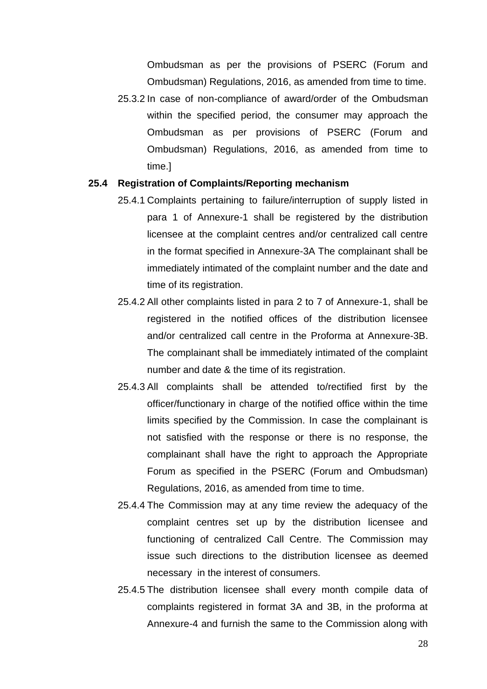Ombudsman as per the provisions of PSERC (Forum and Ombudsman) Regulations, 2016, as amended from time to time.

25.3.2 In case of non-compliance of award/order of the Ombudsman within the specified period, the consumer may approach the Ombudsman as per provisions of PSERC (Forum and Ombudsman) Regulations, 2016, as amended from time to time.]

#### **25.4 Registration of Complaints/Reporting mechanism**

- 25.4.1 Complaints pertaining to failure/interruption of supply listed in para 1 of Annexure-1 shall be registered by the distribution licensee at the complaint centres and/or centralized call centre in the format specified in Annexure-3A The complainant shall be immediately intimated of the complaint number and the date and time of its registration.
- 25.4.2 All other complaints listed in para 2 to 7 of Annexure-1, shall be registered in the notified offices of the distribution licensee and/or centralized call centre in the Proforma at Annexure-3B. The complainant shall be immediately intimated of the complaint number and date & the time of its registration.
- 25.4.3 All complaints shall be attended to/rectified first by the officer/functionary in charge of the notified office within the time limits specified by the Commission. In case the complainant is not satisfied with the response or there is no response, the complainant shall have the right to approach the Appropriate Forum as specified in the PSERC (Forum and Ombudsman) Regulations, 2016, as amended from time to time.
- 25.4.4 The Commission may at any time review the adequacy of the complaint centres set up by the distribution licensee and functioning of centralized Call Centre. The Commission may issue such directions to the distribution licensee as deemed necessary in the interest of consumers.
- 25.4.5 The distribution licensee shall every month compile data of complaints registered in format 3A and 3B, in the proforma at Annexure-4 and furnish the same to the Commission along with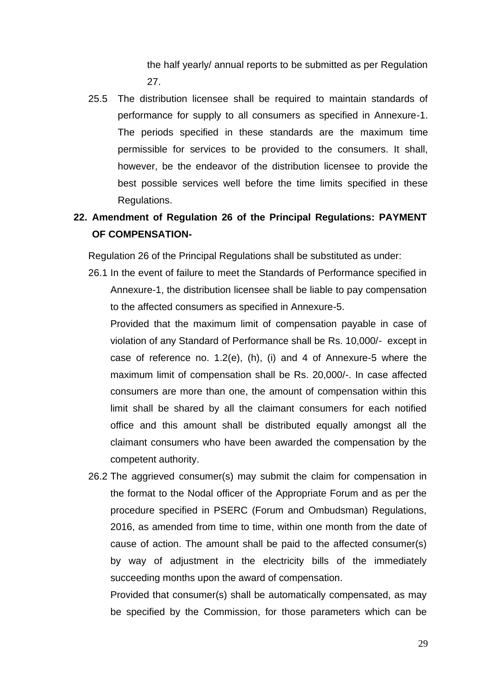the half yearly/ annual reports to be submitted as per Regulation 27.

25.5 The distribution licensee shall be required to maintain standards of performance for supply to all consumers as specified in Annexure-1. The periods specified in these standards are the maximum time permissible for services to be provided to the consumers. It shall, however, be the endeavor of the distribution licensee to provide the best possible services well before the time limits specified in these Regulations.

# **22. Amendment of Regulation 26 of the Principal Regulations: PAYMENT OF COMPENSATION-**

Regulation 26 of the Principal Regulations shall be substituted as under:

26.1 In the event of failure to meet the Standards of Performance specified in Annexure-1, the distribution licensee shall be liable to pay compensation to the affected consumers as specified in Annexure-5.

Provided that the maximum limit of compensation payable in case of violation of any Standard of Performance shall be Rs. 10,000/- except in case of reference no. 1.2(e), (h), (i) and 4 of Annexure-5 where the maximum limit of compensation shall be Rs. 20,000/-. In case affected consumers are more than one, the amount of compensation within this limit shall be shared by all the claimant consumers for each notified office and this amount shall be distributed equally amongst all the claimant consumers who have been awarded the compensation by the competent authority.

26.2 The aggrieved consumer(s) may submit the claim for compensation in the format to the Nodal officer of the Appropriate Forum and as per the procedure specified in PSERC (Forum and Ombudsman) Regulations, 2016, as amended from time to time, within one month from the date of cause of action. The amount shall be paid to the affected consumer(s) by way of adjustment in the electricity bills of the immediately succeeding months upon the award of compensation.

Provided that consumer(s) shall be automatically compensated, as may be specified by the Commission, for those parameters which can be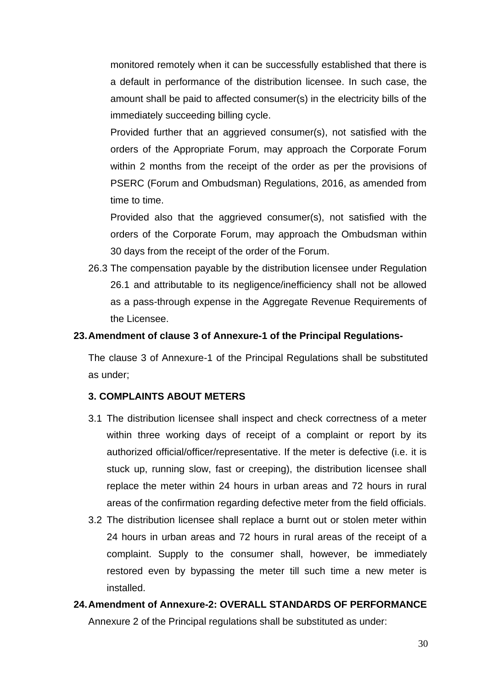monitored remotely when it can be successfully established that there is a default in performance of the distribution licensee. In such case, the amount shall be paid to affected consumer(s) in the electricity bills of the immediately succeeding billing cycle.

Provided further that an aggrieved consumer(s), not satisfied with the orders of the Appropriate Forum, may approach the Corporate Forum within 2 months from the receipt of the order as per the provisions of PSERC (Forum and Ombudsman) Regulations, 2016, as amended from time to time.

Provided also that the aggrieved consumer(s), not satisfied with the orders of the Corporate Forum, may approach the Ombudsman within 30 days from the receipt of the order of the Forum.

26.3 The compensation payable by the distribution licensee under Regulation 26.1 and attributable to its negligence/inefficiency shall not be allowed as a pass-through expense in the Aggregate Revenue Requirements of the Licensee.

#### **23.Amendment of clause 3 of Annexure-1 of the Principal Regulations-**

The clause 3 of Annexure-1 of the Principal Regulations shall be substituted as under;

### **3. COMPLAINTS ABOUT METERS**

- 3.1 The distribution licensee shall inspect and check correctness of a meter within three working days of receipt of a complaint or report by its authorized official/officer/representative. If the meter is defective (i.e. it is stuck up, running slow, fast or creeping), the distribution licensee shall replace the meter within 24 hours in urban areas and 72 hours in rural areas of the confirmation regarding defective meter from the field officials.
- 3.2 The distribution licensee shall replace a burnt out or stolen meter within 24 hours in urban areas and 72 hours in rural areas of the receipt of a complaint. Supply to the consumer shall, however, be immediately restored even by bypassing the meter till such time a new meter is installed.
- **24.Amendment of Annexure-2: OVERALL STANDARDS OF PERFORMANCE** Annexure 2 of the Principal regulations shall be substituted as under: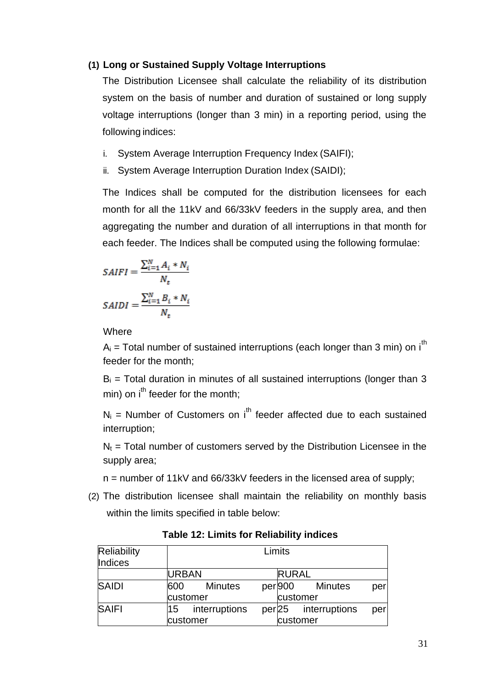### **(1) Long or Sustained Supply Voltage Interruptions**

The Distribution Licensee shall calculate the reliability of its distribution system on the basis of number and duration of sustained or long supply voltage interruptions (longer than 3 min) in a reporting period, using the following indices:

- i. System Average Interruption Frequency Index (SAIFI);
- ii. System Average Interruption Duration Index (SAIDI);

The Indices shall be computed for the distribution licensees for each month for all the 11kV and 66/33kV feeders in the supply area, and then aggregating the number and duration of all interruptions in that month for each feeder. The Indices shall be computed using the following formulae:

$$
SAIFI = \frac{\sum_{i=1}^{N} A_i * N_i}{N_t}
$$

$$
SAIDI = \frac{\sum_{i=1}^{N} B_i * N_i}{N_t}
$$

**Where** 

 $A_i$  = Total number of sustained interruptions (each longer than 3 min) on i<sup>th</sup> feeder for the month;

 $B_i$  = Total duration in minutes of all sustained interruptions (longer than 3  $min$ ) on  $i<sup>th</sup>$  feeder for the month:

 $N_i$  = Number of Customers on i<sup>th</sup> feeder affected due to each sustained interruption;

 $N_t$  = Total number of customers served by the Distribution Licensee in the supply area;

n = number of 11kV and 66/33kV feeders in the licensed area of supply;

(2) The distribution licensee shall maintain the reliability on monthly basis within the limits specified in table below:

| Reliability<br>Indices |              | Limits         |  |              |               |     |
|------------------------|--------------|----------------|--|--------------|---------------|-----|
|                        | <b>URBAN</b> |                |  | <b>RURAL</b> |               |     |
| <b>SAIDI</b>           | 600          | <b>Minutes</b> |  | per 900      | Minutes       | per |
|                        |              | customer       |  | customer     |               |     |
| <b>SAIFI</b>           | 15           | interruptions  |  | per 25       | interruptions | per |
|                        |              | customer       |  | customer     |               |     |

**Table 12: Limits for Reliability indices**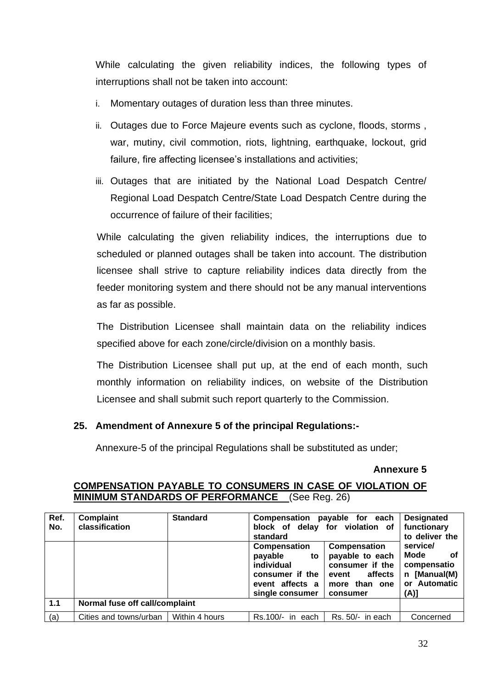While calculating the given reliability indices, the following types of interruptions shall not be taken into account:

- i. Momentary outages of duration less than three minutes.
- ii. Outages due to Force Majeure events such as cyclone, floods, storms , war, mutiny, civil commotion, riots, lightning, earthquake, lockout, grid failure, fire affecting licensee's installations and activities;
- iii. Outages that are initiated by the National Load Despatch Centre/ Regional Load Despatch Centre/State Load Despatch Centre during the occurrence of failure of their facilities;

While calculating the given reliability indices, the interruptions due to scheduled or planned outages shall be taken into account. The distribution licensee shall strive to capture reliability indices data directly from the feeder monitoring system and there should not be any manual interventions as far as possible.

The Distribution Licensee shall maintain data on the reliability indices specified above for each zone/circle/division on a monthly basis.

The Distribution Licensee shall put up, at the end of each month, such monthly information on reliability indices, on website of the Distribution Licensee and shall submit such report quarterly to the Commission.

# **25. Amendment of Annexure 5 of the principal Regulations:-**

Annexure-5 of the principal Regulations shall be substituted as under;

**Annexure 5** 

| Ref.<br>No. | Complaint<br>classification    | <b>Standard</b> | standard                                                                                                    | Compensation payable for each<br>block of delay for violation of                                    | <b>Designated</b><br>functionary<br>to deliver the                            |  |
|-------------|--------------------------------|-----------------|-------------------------------------------------------------------------------------------------------------|-----------------------------------------------------------------------------------------------------|-------------------------------------------------------------------------------|--|
|             |                                |                 | <b>Compensation</b><br>payable<br>to<br>individual<br>consumer if the<br>event affects a<br>single consumer | Compensation<br>payable to each<br>consumer if the<br>affects<br>event<br>more than one<br>consumer | service/<br>Mode<br>of<br>compensatio<br>n [Manual(M)<br>or Automatic<br>(A)] |  |
| 1.1         | Normal fuse off call/complaint |                 |                                                                                                             |                                                                                                     |                                                                               |  |
| (a)         | Cities and towns/urban         | Within 4 hours  | Rs.100/-<br>each<br>in.                                                                                     | Rs. 50/-<br>in each                                                                                 | Concerned                                                                     |  |

# **COMPENSATION PAYABLE TO CONSUMERS IN CASE OF VIOLATION OF MINIMUM STANDARDS OF PERFORMANCE** (See Reg. 26)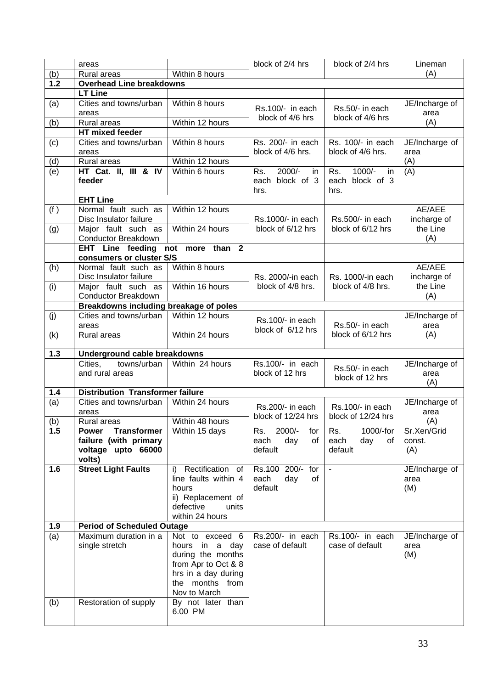|     | areas                                                        |                                            | block of 2/4 hrs                       | block of 2/4 hrs                       | Lineman                 |
|-----|--------------------------------------------------------------|--------------------------------------------|----------------------------------------|----------------------------------------|-------------------------|
| (b) | Rural areas                                                  | Within 8 hours                             |                                        |                                        | (A)                     |
| 1.2 | <b>Overhead Line breakdowns</b>                              |                                            |                                        |                                        |                         |
|     | <b>LT Line</b>                                               |                                            |                                        |                                        |                         |
| (a) | Cities and towns/urban                                       | Within 8 hours                             | Rs.100/- in each                       | Rs.50/- in each                        | JE/Incharge of          |
|     | areas                                                        |                                            | block of 4/6 hrs                       | block of 4/6 hrs                       | area                    |
| (b) | Rural areas                                                  | Within 12 hours                            |                                        |                                        | (A)                     |
|     | HT mixed feeder                                              |                                            |                                        |                                        |                         |
| (c) | Cities and towns/urban                                       | Within 8 hours                             | Rs. 200/- in each                      | Rs. 100/- in each                      | JE/Incharge of          |
|     | areas                                                        |                                            | block of 4/6 hrs.                      | block of 4/6 hrs.                      | area                    |
| (d) | Rural areas<br>HT Cat. II, III & IV                          | Within 12 hours<br>Within 6 hours          | 2000/-<br>Rs.                          | 1000/-<br>Rs.                          | (A)<br>(A)              |
| (e) | feeder                                                       |                                            | in.<br>block of 3<br>each<br>hrs.      | in.<br>each block of 3<br>hrs.         |                         |
|     | <b>EHT Line</b>                                              |                                            |                                        |                                        |                         |
| (f) | Normal fault such as<br>Disc Insulator failure               | Within 12 hours                            | Rs.1000/- in each                      | Rs.500/- in each                       | AE/AEE<br>incharge of   |
| (g) | Major fault such as<br>Conductor Breakdown                   | Within 24 hours                            | block of 6/12 hrs                      | block of 6/12 hrs                      | the Line<br>(A)         |
|     | EHT Line feeding not more than 2<br>consumers or cluster S/S |                                            |                                        |                                        |                         |
| (h) | Normal fault such as                                         | Within 8 hours                             |                                        |                                        | AE/AEE                  |
| (i) | Disc Insulator failure<br>Major fault such as                | Within 16 hours                            | Rs. 2000/-in each<br>block of 4/8 hrs. | Rs. 1000/-in each<br>block of 4/8 hrs. | incharge of<br>the Line |
|     | Conductor Breakdown                                          |                                            |                                        |                                        | (A)                     |
|     | Breakdowns including breakage of poles                       |                                            |                                        |                                        |                         |
| (j) | Cities and towns/urban<br>areas                              | Within 12 hours                            | Rs.100/- in each                       | Rs.50/- in each                        | JE/Incharge of<br>area  |
| (k) | Rural areas                                                  | Within 24 hours                            | block of 6/12 hrs                      | block of 6/12 hrs                      | (A)                     |
| 1.3 | Underground cable breakdowns                                 |                                            |                                        |                                        |                         |
|     | Cities.<br>towns/urban                                       | Within 24 hours                            | $Rs.100/-$ in each                     |                                        | JE/Incharge of          |
|     | and rural areas                                              |                                            | block of 12 hrs                        | Rs.50/- in each<br>block of 12 hrs     | area<br>(A)             |
| 1.4 | <b>Distribution Transformer failure</b>                      |                                            |                                        |                                        |                         |
| (a) | Cities and towns/urban                                       | Within 24 hours                            |                                        |                                        | JE/Incharge of          |
|     | areas                                                        |                                            | Rs.200/- in each<br>block of 12/24 hrs | Rs.100/- in each<br>block of 12/24 hrs | area                    |
| (b) | Rural areas                                                  | Within 48 hours                            |                                        |                                        | (A)                     |
| 1.5 | <b>Transformer</b><br><b>Power</b>                           | Within 15 days                             | 2000/-<br>Rs.<br>for                   | 1000/-for<br>Rs.                       | Sr.Xen/Grid             |
|     | failure (with primary                                        |                                            | day<br>each<br>of                      | day<br>each<br>of                      | const.                  |
|     | voltage upto 66000                                           |                                            | default                                | default                                | (A)                     |
| 1.6 | volts)                                                       | Rectification of                           |                                        |                                        |                         |
|     | <b>Street Light Faults</b>                                   | i)<br>line faults within 4                 | Rs. 100 200/- for<br>each<br>day<br>of |                                        | JE/Incharge of<br>area  |
|     |                                                              | hours                                      | default                                |                                        | (M)                     |
|     |                                                              | ii) Replacement of                         |                                        |                                        |                         |
|     |                                                              | defective<br>units                         |                                        |                                        |                         |
|     |                                                              | within 24 hours                            |                                        |                                        |                         |
| 1.9 | <b>Period of Scheduled Outage</b>                            |                                            |                                        |                                        |                         |
| (a) | Maximum duration in a                                        | Not to exceed 6                            | Rs.200/- in each                       | Rs.100/- in each                       | JE/Incharge of          |
|     | single stretch                                               | hours in a day                             | case of default                        | case of default                        | area                    |
|     |                                                              | during the months                          |                                        |                                        | (M)                     |
|     |                                                              | from Apr to Oct & 8<br>hrs in a day during |                                        |                                        |                         |
|     |                                                              | the months from                            |                                        |                                        |                         |
|     |                                                              | Nov to March                               |                                        |                                        |                         |
| (b) | Restoration of supply                                        | By not later than                          |                                        |                                        |                         |
|     |                                                              | 6.00 PM                                    |                                        |                                        |                         |
|     |                                                              |                                            |                                        |                                        |                         |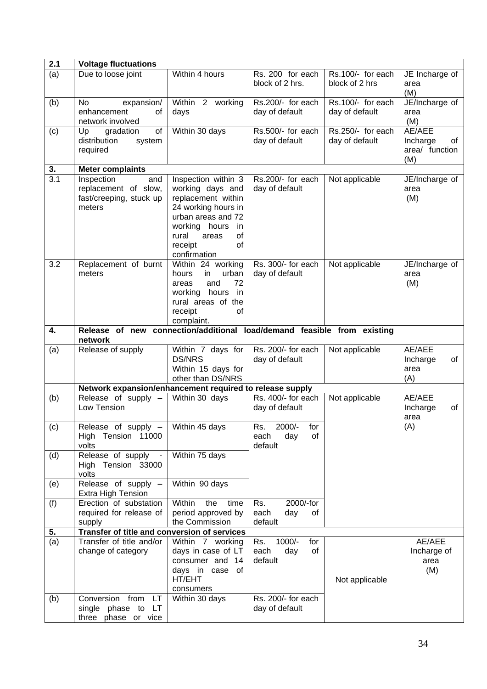| 2.1              | <b>Voltage fluctuations</b>                                                        |                                                                                                                                                                                                       |                                                                             |                                     |                                                   |
|------------------|------------------------------------------------------------------------------------|-------------------------------------------------------------------------------------------------------------------------------------------------------------------------------------------------------|-----------------------------------------------------------------------------|-------------------------------------|---------------------------------------------------|
| (a)              | Due to loose joint                                                                 | Within 4 hours                                                                                                                                                                                        | Rs. 200 for each<br>block of 2 hrs.                                         | Rs.100/- for each<br>block of 2 hrs | JE Incharge of<br>area<br>(M)                     |
| (b)              | <b>No</b><br>expansion/<br>enhancement<br>of<br>network involved                   | Within 2 working<br>days                                                                                                                                                                              | Rs.200/- for each<br>day of default                                         | Rs.100/- for each<br>day of default | JE/Incharge of<br>area<br>(M)                     |
| (c)              | of<br>Up<br>gradation<br>distribution<br>system<br>required                        | Within 30 days                                                                                                                                                                                        | Rs.500/- for each<br>day of default                                         | Rs.250/- for each<br>day of default | AE/AEE<br>Incharge<br>of<br>area/ function<br>(M) |
| 3.               | <b>Meter complaints</b>                                                            |                                                                                                                                                                                                       |                                                                             |                                     |                                                   |
| $\overline{3.1}$ | Inspection<br>and<br>replacement of slow,<br>fast/creeping, stuck up<br>meters     | Inspection within 3<br>working days and<br>replacement within<br>24 working hours in<br>urban areas and 72<br>working hours<br>in<br>rural<br>of<br>areas<br>receipt<br><sub>of</sub><br>confirmation | Rs.200/- for each<br>day of default                                         | Not applicable                      | JE/Incharge of<br>area<br>(M)                     |
| 3.2              | Replacement of burnt<br>meters                                                     | Within 24 working<br>urban<br>hours<br>in<br>72<br>and<br>areas<br>working hours in<br>rural areas of the<br>receipt<br>0f<br>complaint.                                                              | Rs. 300/- for each<br>day of default                                        | Not applicable                      | JE/Incharge of<br>area<br>(M)                     |
| 4.               | Release of new connection/additional load/demand feasible from existing<br>network |                                                                                                                                                                                                       |                                                                             |                                     |                                                   |
| (a)              | Release of supply                                                                  | Within 7 days for<br><b>DS/NRS</b><br>Within 15 days for<br>other than DS/NRS                                                                                                                         | Rs. 200/- for each<br>day of default                                        | Not applicable                      | AE/AEE<br>Incharge<br>of<br>area<br>(A)           |
|                  | Network expansion/enhancement required to release supply                           |                                                                                                                                                                                                       |                                                                             |                                     |                                                   |
| (b)              | Release of supply -<br>Low Tension                                                 | Within 30 days                                                                                                                                                                                        | Rs. 400/- for each<br>day of default                                        | Not applicable                      | AE/AEE<br>Incharge<br>of<br>area                  |
| (c)              | Release of supply $-$  <br>High Tension 11000<br>volts                             | Within 45 days                                                                                                                                                                                        | $\overline{\mathsf{Rs}}$ .<br>for<br>2000/-<br>of<br>day<br>each<br>default |                                     | (A)                                               |
| (d)              | Release of supply<br>High Tension 33000<br>volts                                   | Within 75 days                                                                                                                                                                                        |                                                                             |                                     |                                                   |
| (e)              | Release of supply -<br><b>Extra High Tension</b>                                   | Within 90 days                                                                                                                                                                                        |                                                                             |                                     |                                                   |
| (f)              | Erection of substation<br>required for release of<br>supply                        | Within<br>time<br>the<br>period approved by<br>the Commission                                                                                                                                         | 2000/-for<br>Rs.<br>each<br>day<br>of<br>default                            |                                     |                                                   |
| 5.               | Transfer of title and conversion of services                                       |                                                                                                                                                                                                       |                                                                             |                                     |                                                   |
| (a)              | Transfer of title and/or<br>change of category                                     | Within 7 working<br>days in case of LT<br>consumer and 14<br>days in case of<br>HT/EHT<br>consumers                                                                                                   | 1000/-<br>Rs.<br>for<br>of<br>each<br>day<br>default                        | Not applicable                      | AE/AEE<br>Incharge of<br>area<br>(M)              |
| (b)              | from<br>Conversion<br>LT<br>single phase to LT<br>three phase or vice              | Within 30 days                                                                                                                                                                                        | Rs. 200/- for each<br>day of default                                        |                                     |                                                   |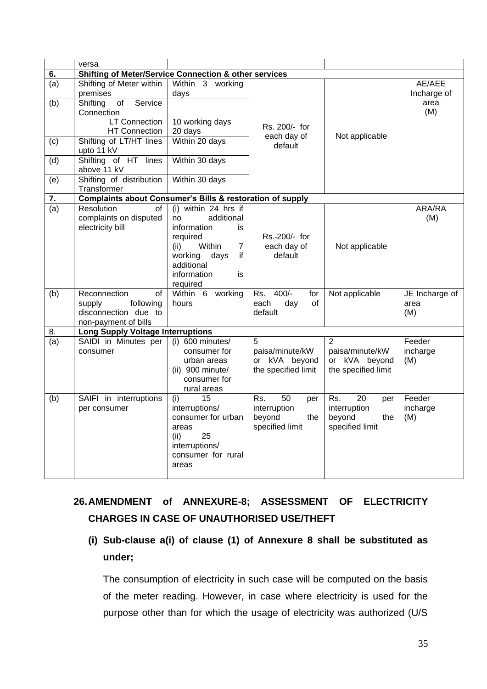|     | versa                                                                                     |                                                                                                                                                                             |                                                                      |                                                                                   |                               |
|-----|-------------------------------------------------------------------------------------------|-----------------------------------------------------------------------------------------------------------------------------------------------------------------------------|----------------------------------------------------------------------|-----------------------------------------------------------------------------------|-------------------------------|
| 6.  | <b>Shifting of Meter/Service Connection &amp; other services</b>                          |                                                                                                                                                                             |                                                                      |                                                                                   |                               |
| (a) | Shifting of Meter within<br>premises                                                      | Within <sub>3</sub><br>working<br>days                                                                                                                                      |                                                                      |                                                                                   | AE/AEE<br>Incharge of         |
| (b) | Service<br>Shifting<br>of<br>Connection                                                   |                                                                                                                                                                             |                                                                      |                                                                                   | area<br>(M)                   |
|     | <b>LT Connection</b><br><b>HT Connection</b>                                              | 10 working days<br>20 days                                                                                                                                                  | Rs. 200/- for<br>each day of                                         | Not applicable                                                                    |                               |
| (c) | Shifting of LT/HT lines<br>upto 11 kV                                                     | Within 20 days                                                                                                                                                              | default                                                              |                                                                                   |                               |
| (d) | Shifting of HT lines<br>above 11 kV                                                       | Within 30 days                                                                                                                                                              |                                                                      |                                                                                   |                               |
| (e) | Shifting of distribution<br>Transformer                                                   | Within 30 days                                                                                                                                                              |                                                                      |                                                                                   |                               |
| 7.  | <b>Complaints about Consumer's Bills &amp; restoration of supply</b>                      |                                                                                                                                                                             |                                                                      |                                                                                   |                               |
| (a) | <b>Resolution</b><br>οf<br>complaints on disputed<br>electricity bill                     | (i) within $24$ hrs if<br>additional<br>no<br>information<br>is.<br>required<br>Within<br>(ii)<br>7<br>working<br>days<br>if<br>additional<br>information<br>is<br>required | Rs. 200/- for<br>each day of<br>default                              | Not applicable                                                                    | ARA/RA<br>(M)                 |
| (b) | Reconnection<br>of<br>following<br>supply<br>disconnection due to<br>non-payment of bills | Within 6 working<br>hours                                                                                                                                                   | $400/-$<br>Rs.<br>for<br>each<br>day<br>οf<br>default                | Not applicable                                                                    | JE Incharge of<br>area<br>(M) |
| 8.  | <b>Long Supply Voltage Interruptions</b>                                                  |                                                                                                                                                                             |                                                                      |                                                                                   |                               |
| (a) | SAIDI in Minutes per<br>consumer                                                          | (i) 600 minutes/<br>consumer for<br>urban areas<br>(ii) 900 minute/<br>consumer for<br>rural areas                                                                          | 5<br>paisa/minute/kW<br>or kVA beyond<br>the specified limit         | $\overline{2}$<br>paisa/minute/kW<br>or kVA beyond<br>the specified limit         | Feeder<br>incharge<br>(M)     |
| (b) | SAIFI in interruptions<br>per consumer                                                    | (i)<br>15<br>interruptions/<br>consumer for urban<br>areas<br>25<br>(ii)<br>interruptions/<br>consumer for rural<br>areas                                                   | 50<br>Rs.<br>per<br>interruption<br>beyond<br>the<br>specified limit | $\overline{20}$<br>Rs.<br>per<br>interruption<br>beyond<br>the<br>specified limit | Feeder<br>incharge<br>(M)     |

# **26.AMENDMENT of ANNEXURE-8; ASSESSMENT OF ELECTRICITY CHARGES IN CASE OF UNAUTHORISED USE/THEFT**

**(i) Sub-clause a(i) of clause (1) of Annexure 8 shall be substituted as under;**

The consumption of electricity in such case will be computed on the basis of the meter reading. However, in case where electricity is used for the purpose other than for which the usage of electricity was authorized (U/S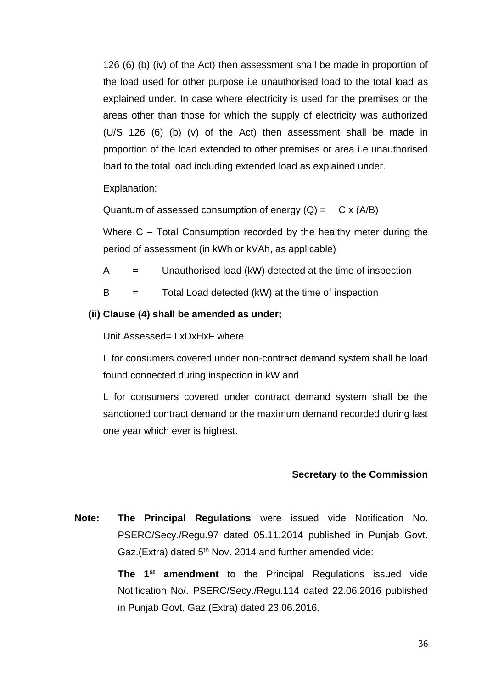126 (6) (b) (iv) of the Act) then assessment shall be made in proportion of the load used for other purpose i.e unauthorised load to the total load as explained under. In case where electricity is used for the premises or the areas other than those for which the supply of electricity was authorized (U/S 126 (6) (b) (v) of the Act) then assessment shall be made in proportion of the load extended to other premises or area i.e unauthorised load to the total load including extended load as explained under.

Explanation:

Quantum of assessed consumption of energy  $(Q) = C \times (A/B)$ 

Where C – Total Consumption recorded by the healthy meter during the period of assessment (in kWh or kVAh, as applicable)

 $A =$  Unauthorised load (kW) detected at the time of inspection

 $B =$  Total Load detected (kW) at the time of inspection

### **(ii) Clause (4) shall be amended as under;**

Unit Assessed= LxDxHxF where

L for consumers covered under non-contract demand system shall be load found connected during inspection in kW and

L for consumers covered under contract demand system shall be the sanctioned contract demand or the maximum demand recorded during last one year which ever is highest.

### **Secretary to the Commission**

**Note: The Principal Regulations** were issued vide Notification No. PSERC/Secy./Regu.97 dated 05.11.2014 published in Punjab Govt. Gaz.(Extra) dated 5<sup>th</sup> Nov. 2014 and further amended vide:

> **The 1st amendment** to the Principal Regulations issued vide Notification No/. PSERC/Secy./Regu.114 dated 22.06.2016 published in Punjab Govt. Gaz.(Extra) dated 23.06.2016.